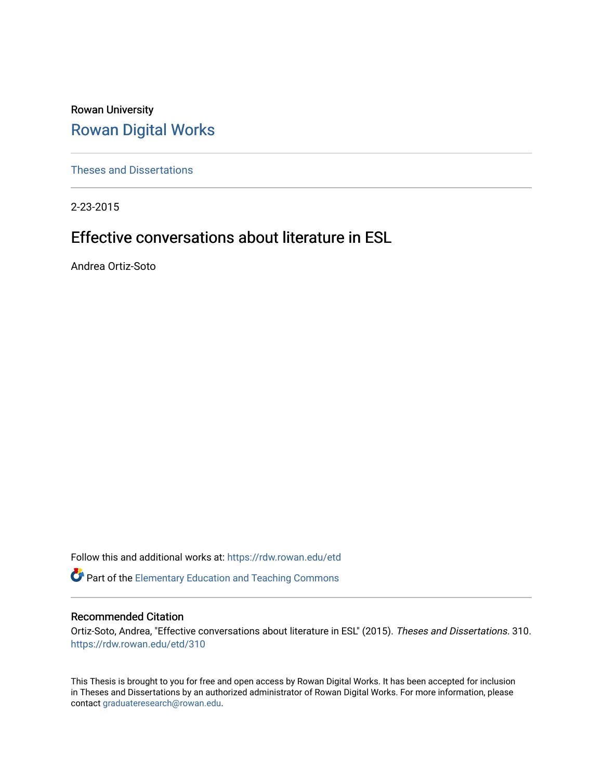Rowan University [Rowan Digital Works](https://rdw.rowan.edu/)

[Theses and Dissertations](https://rdw.rowan.edu/etd)

2-23-2015

# Effective conversations about literature in ESL

Andrea Ortiz-Soto

Follow this and additional works at: [https://rdw.rowan.edu/etd](https://rdw.rowan.edu/etd?utm_source=rdw.rowan.edu%2Fetd%2F310&utm_medium=PDF&utm_campaign=PDFCoverPages) 

Part of the [Elementary Education and Teaching Commons](http://network.bepress.com/hgg/discipline/805?utm_source=rdw.rowan.edu%2Fetd%2F310&utm_medium=PDF&utm_campaign=PDFCoverPages) 

### Recommended Citation

Ortiz-Soto, Andrea, "Effective conversations about literature in ESL" (2015). Theses and Dissertations. 310. [https://rdw.rowan.edu/etd/310](https://rdw.rowan.edu/etd/310?utm_source=rdw.rowan.edu%2Fetd%2F310&utm_medium=PDF&utm_campaign=PDFCoverPages) 

This Thesis is brought to you for free and open access by Rowan Digital Works. It has been accepted for inclusion in Theses and Dissertations by an authorized administrator of Rowan Digital Works. For more information, please contact [graduateresearch@rowan.edu.](mailto:graduateresearch@rowan.edu)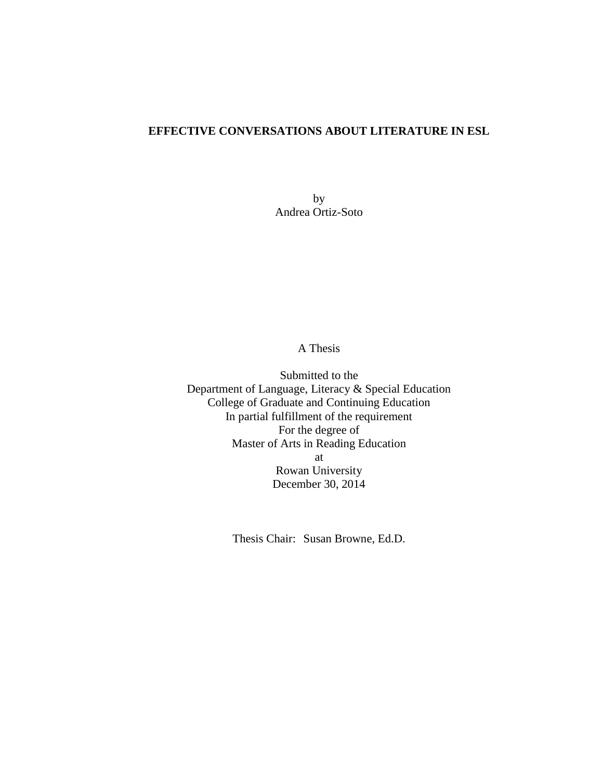### **EFFECTIVE CONVERSATIONS ABOUT LITERATURE IN ESL**

by Andrea Ortiz-Soto

### A Thesis

Submitted to the Department of Language, Literacy & Special Education College of Graduate and Continuing Education In partial fulfillment of the requirement For the degree of Master of Arts in Reading Education at Rowan University December 30, 2014

Thesis Chair: Susan Browne, Ed.D.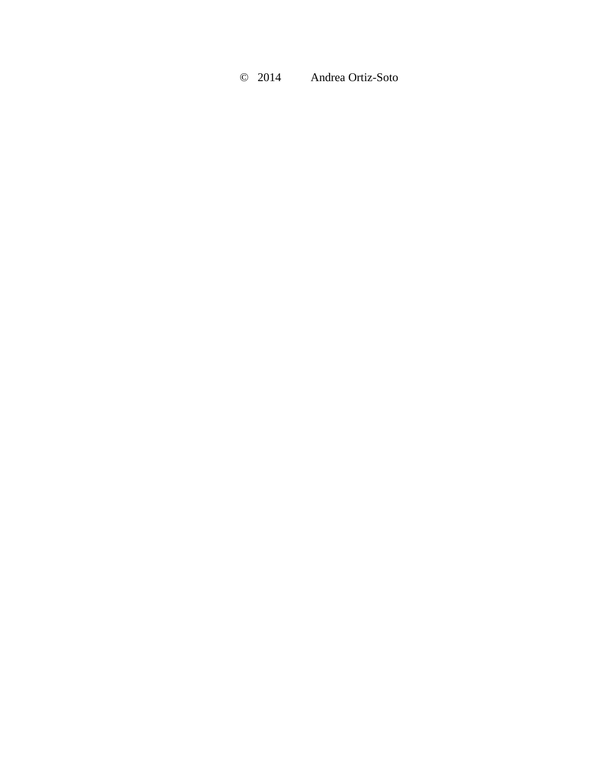© 2014 Andrea Ortiz-Soto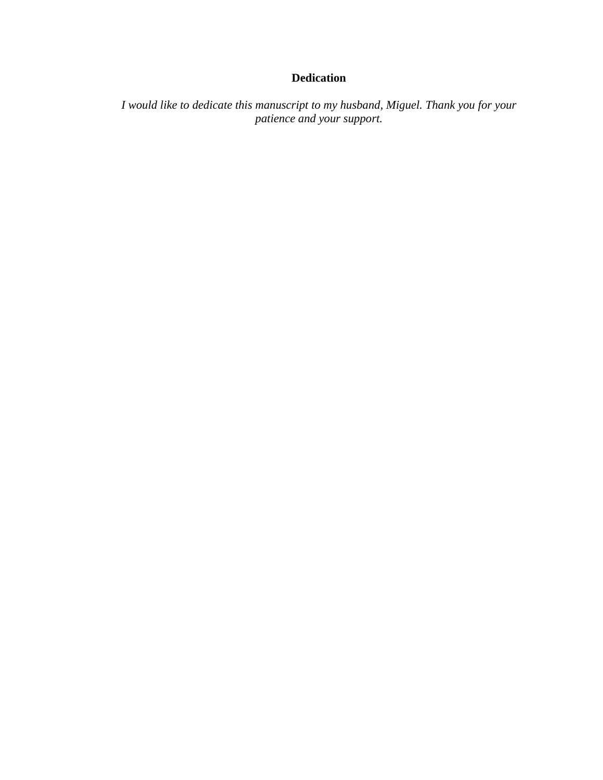## **Dedication**

*I would like to dedicate this manuscript to my husband, Miguel. Thank you for your patience and your support.*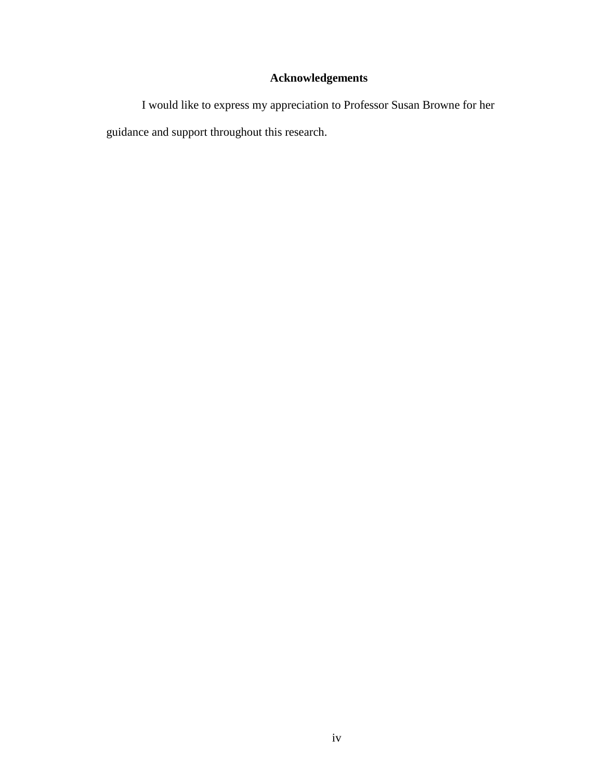# **Acknowledgements**

I would like to express my appreciation to Professor Susan Browne for her guidance and support throughout this research.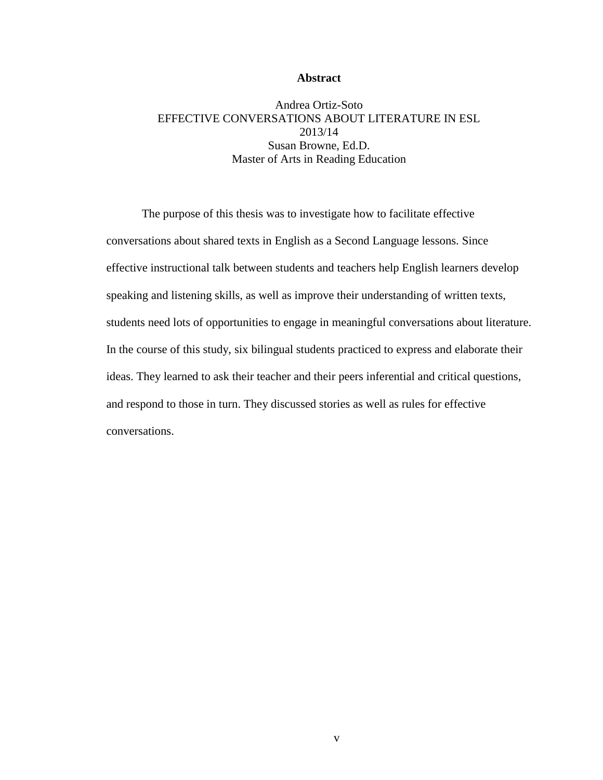#### **Abstract**

### Andrea Ortiz-Soto EFFECTIVE CONVERSATIONS ABOUT LITERATURE IN ESL 2013/14 Susan Browne, Ed.D. Master of Arts in Reading Education

The purpose of this thesis was to investigate how to facilitate effective conversations about shared texts in English as a Second Language lessons. Since effective instructional talk between students and teachers help English learners develop speaking and listening skills, as well as improve their understanding of written texts, students need lots of opportunities to engage in meaningful conversations about literature. In the course of this study, six bilingual students practiced to express and elaborate their ideas. They learned to ask their teacher and their peers inferential and critical questions, and respond to those in turn. They discussed stories as well as rules for effective conversations.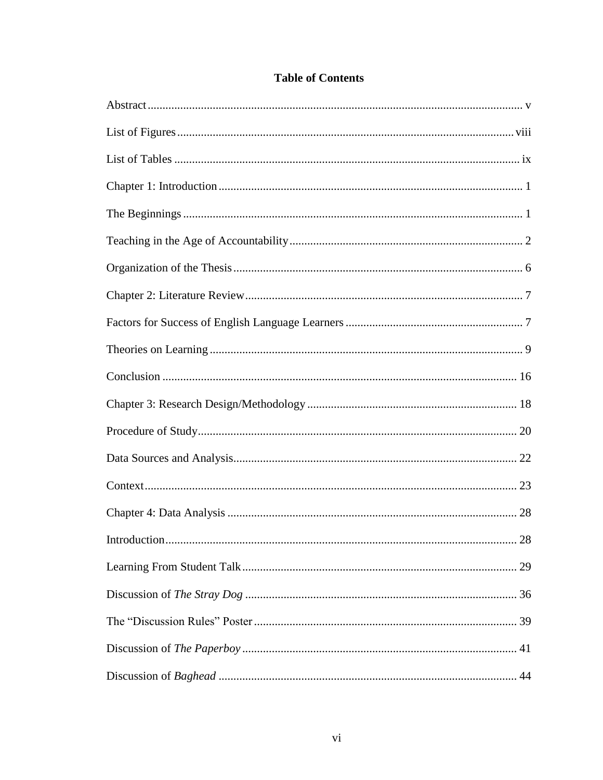| 28 |
|----|
|    |
|    |
|    |
|    |
|    |

## **Table of Contents**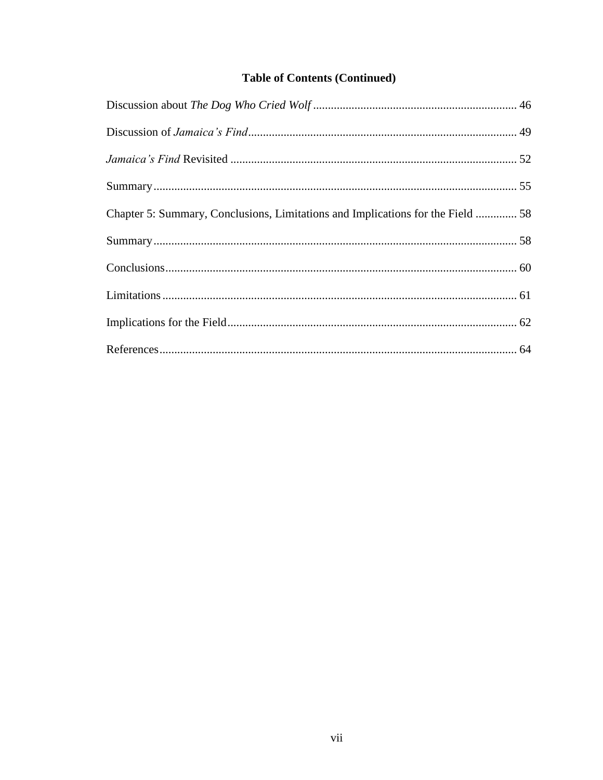## **Table of Contents (Continued)**

| Chapter 5: Summary, Conclusions, Limitations and Implications for the Field  58 |  |
|---------------------------------------------------------------------------------|--|
|                                                                                 |  |
|                                                                                 |  |
|                                                                                 |  |
|                                                                                 |  |
|                                                                                 |  |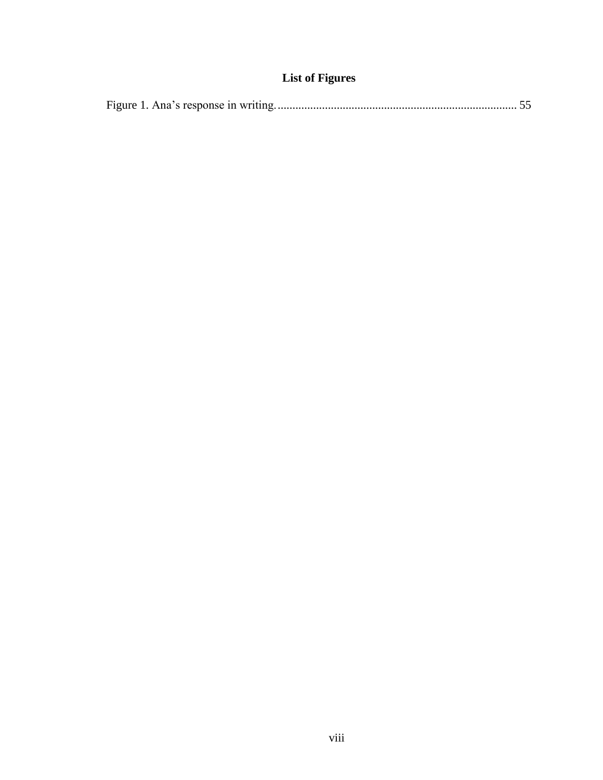# **List of Figures**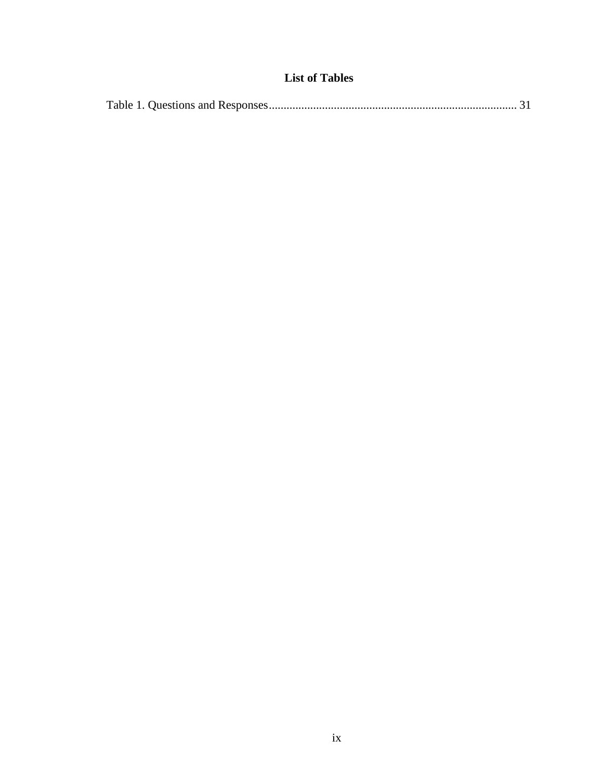## **List of Tables**

|--|--|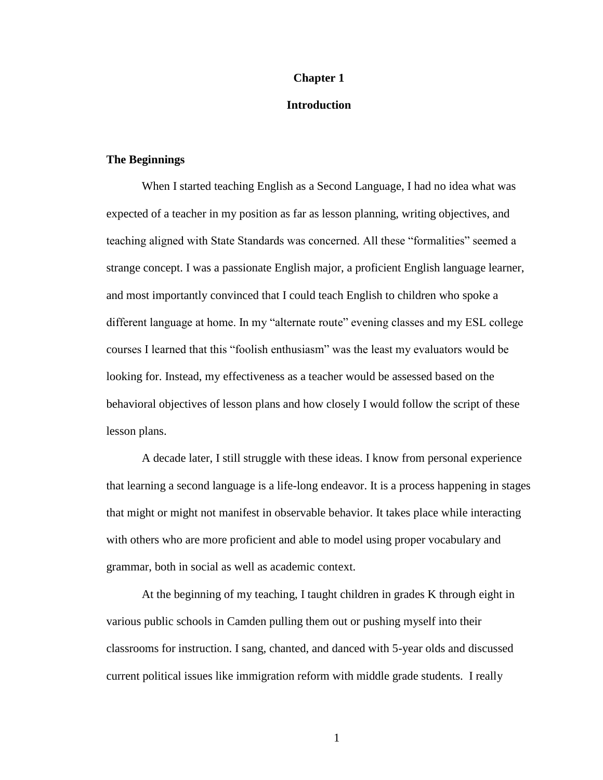#### **Chapter 1**

#### **Introduction**

#### **The Beginnings**

When I started teaching English as a Second Language, I had no idea what was expected of a teacher in my position as far as lesson planning, writing objectives, and teaching aligned with State Standards was concerned. All these "formalities" seemed a strange concept. I was a passionate English major, a proficient English language learner, and most importantly convinced that I could teach English to children who spoke a different language at home. In my "alternate route" evening classes and my ESL college courses I learned that this "foolish enthusiasm" was the least my evaluators would be looking for. Instead, my effectiveness as a teacher would be assessed based on the behavioral objectives of lesson plans and how closely I would follow the script of these lesson plans.

A decade later, I still struggle with these ideas. I know from personal experience that learning a second language is a life-long endeavor. It is a process happening in stages that might or might not manifest in observable behavior. It takes place while interacting with others who are more proficient and able to model using proper vocabulary and grammar, both in social as well as academic context.

At the beginning of my teaching, I taught children in grades K through eight in various public schools in Camden pulling them out or pushing myself into their classrooms for instruction. I sang, chanted, and danced with 5-year olds and discussed current political issues like immigration reform with middle grade students. I really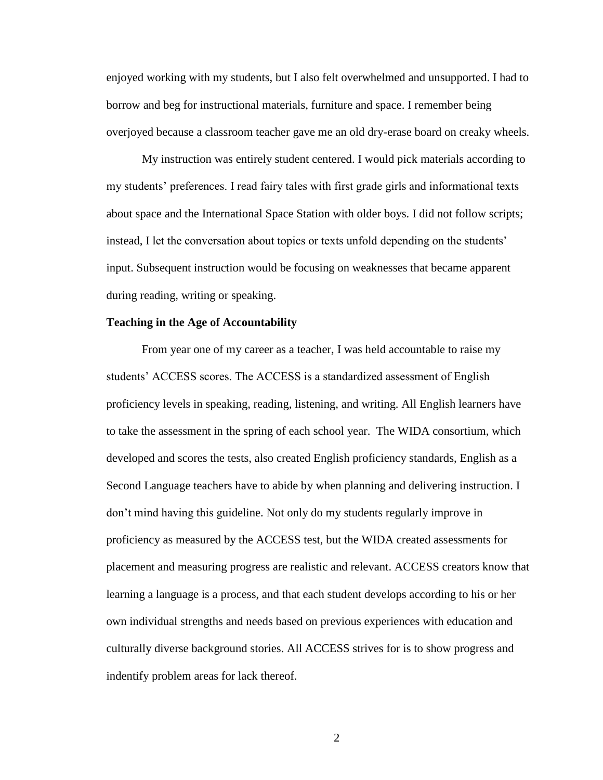enjoyed working with my students, but I also felt overwhelmed and unsupported. I had to borrow and beg for instructional materials, furniture and space. I remember being overjoyed because a classroom teacher gave me an old dry-erase board on creaky wheels.

My instruction was entirely student centered. I would pick materials according to my students' preferences. I read fairy tales with first grade girls and informational texts about space and the International Space Station with older boys. I did not follow scripts; instead, I let the conversation about topics or texts unfold depending on the students' input. Subsequent instruction would be focusing on weaknesses that became apparent during reading, writing or speaking.

#### **Teaching in the Age of Accountability**

From year one of my career as a teacher, I was held accountable to raise my students' ACCESS scores. The ACCESS is a standardized assessment of English proficiency levels in speaking, reading, listening, and writing. All English learners have to take the assessment in the spring of each school year. The WIDA consortium, which developed and scores the tests, also created English proficiency standards, English as a Second Language teachers have to abide by when planning and delivering instruction. I don't mind having this guideline. Not only do my students regularly improve in proficiency as measured by the ACCESS test, but the WIDA created assessments for placement and measuring progress are realistic and relevant. ACCESS creators know that learning a language is a process, and that each student develops according to his or her own individual strengths and needs based on previous experiences with education and culturally diverse background stories. All ACCESS strives for is to show progress and indentify problem areas for lack thereof.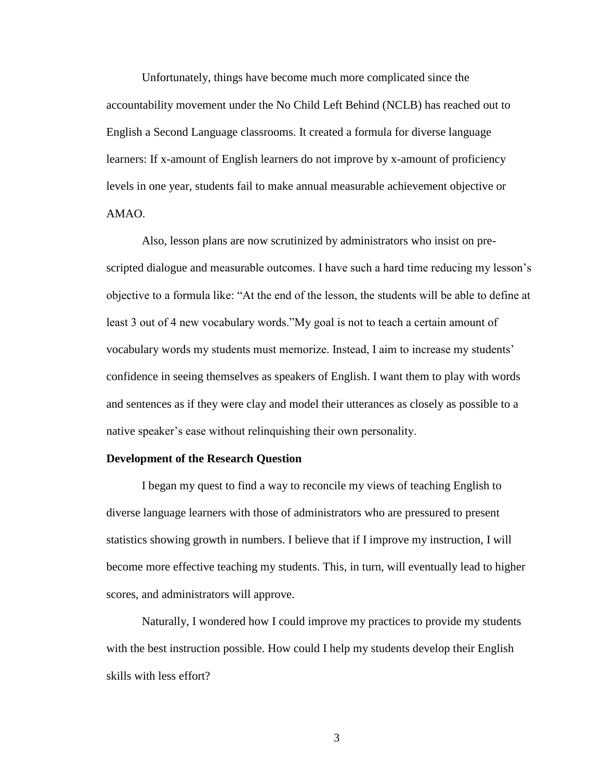Unfortunately, things have become much more complicated since the accountability movement under the No Child Left Behind (NCLB) has reached out to English a Second Language classrooms. It created a formula for diverse language learners: If x-amount of English learners do not improve by x-amount of proficiency levels in one year, students fail to make annual measurable achievement objective or AMAO.

Also, lesson plans are now scrutinized by administrators who insist on prescripted dialogue and measurable outcomes. I have such a hard time reducing my lesson's objective to a formula like: "At the end of the lesson, the students will be able to define at least 3 out of 4 new vocabulary words."My goal is not to teach a certain amount of vocabulary words my students must memorize. Instead, I aim to increase my students' confidence in seeing themselves as speakers of English. I want them to play with words and sentences as if they were clay and model their utterances as closely as possible to a native speaker's ease without relinquishing their own personality.

#### **Development of the Research Question**

I began my quest to find a way to reconcile my views of teaching English to diverse language learners with those of administrators who are pressured to present statistics showing growth in numbers. I believe that if I improve my instruction, I will become more effective teaching my students. This, in turn, will eventually lead to higher scores, and administrators will approve.

Naturally, I wondered how I could improve my practices to provide my students with the best instruction possible. How could I help my students develop their English skills with less effort?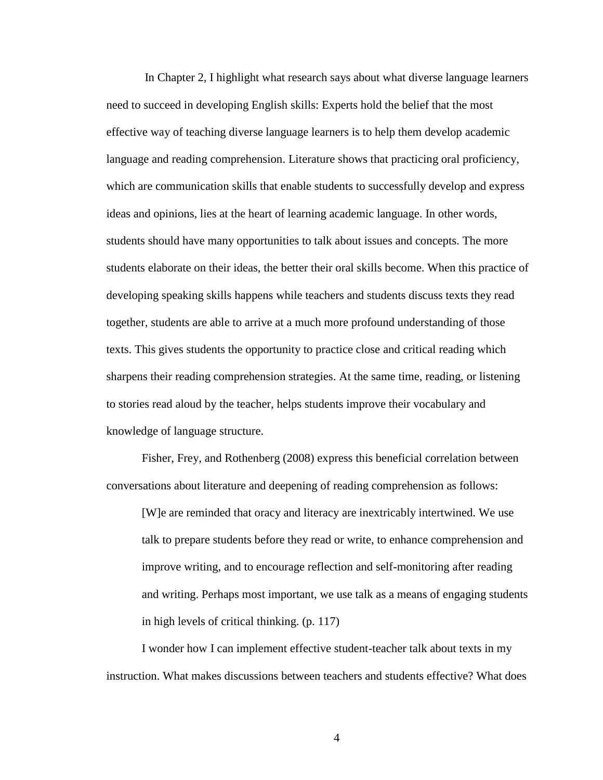In Chapter 2, I highlight what research says about what diverse language learners need to succeed in developing English skills: Experts hold the belief that the most effective way of teaching diverse language learners is to help them develop academic language and reading comprehension. Literature shows that practicing oral proficiency, which are communication skills that enable students to successfully develop and express ideas and opinions, lies at the heart of learning academic language. In other words, students should have many opportunities to talk about issues and concepts. The more students elaborate on their ideas, the better their oral skills become. When this practice of developing speaking skills happens while teachers and students discuss texts they read together, students are able to arrive at a much more profound understanding of those texts. This gives students the opportunity to practice close and critical reading which sharpens their reading comprehension strategies. At the same time, reading, or listening to stories read aloud by the teacher, helps students improve their vocabulary and knowledge of language structure.

Fisher, Frey, and Rothenberg (2008) express this beneficial correlation between conversations about literature and deepening of reading comprehension as follows:

[W]e are reminded that oracy and literacy are inextricably intertwined. We use talk to prepare students before they read or write, to enhance comprehension and improve writing, and to encourage reflection and self-monitoring after reading and writing. Perhaps most important, we use talk as a means of engaging students in high levels of critical thinking. (p. 117)

I wonder how I can implement effective student-teacher talk about texts in my instruction. What makes discussions between teachers and students effective? What does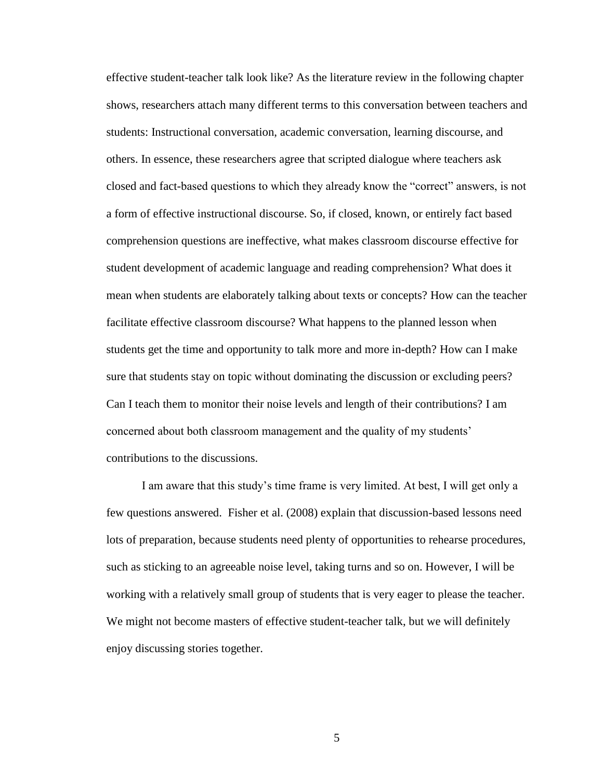effective student-teacher talk look like? As the literature review in the following chapter shows, researchers attach many different terms to this conversation between teachers and students: Instructional conversation, academic conversation, learning discourse, and others. In essence, these researchers agree that scripted dialogue where teachers ask closed and fact-based questions to which they already know the "correct" answers, is not a form of effective instructional discourse. So, if closed, known, or entirely fact based comprehension questions are ineffective, what makes classroom discourse effective for student development of academic language and reading comprehension? What does it mean when students are elaborately talking about texts or concepts? How can the teacher facilitate effective classroom discourse? What happens to the planned lesson when students get the time and opportunity to talk more and more in-depth? How can I make sure that students stay on topic without dominating the discussion or excluding peers? Can I teach them to monitor their noise levels and length of their contributions? I am concerned about both classroom management and the quality of my students' contributions to the discussions.

I am aware that this study's time frame is very limited. At best, I will get only a few questions answered. Fisher et al. (2008) explain that discussion-based lessons need lots of preparation, because students need plenty of opportunities to rehearse procedures, such as sticking to an agreeable noise level, taking turns and so on. However, I will be working with a relatively small group of students that is very eager to please the teacher. We might not become masters of effective student-teacher talk, but we will definitely enjoy discussing stories together.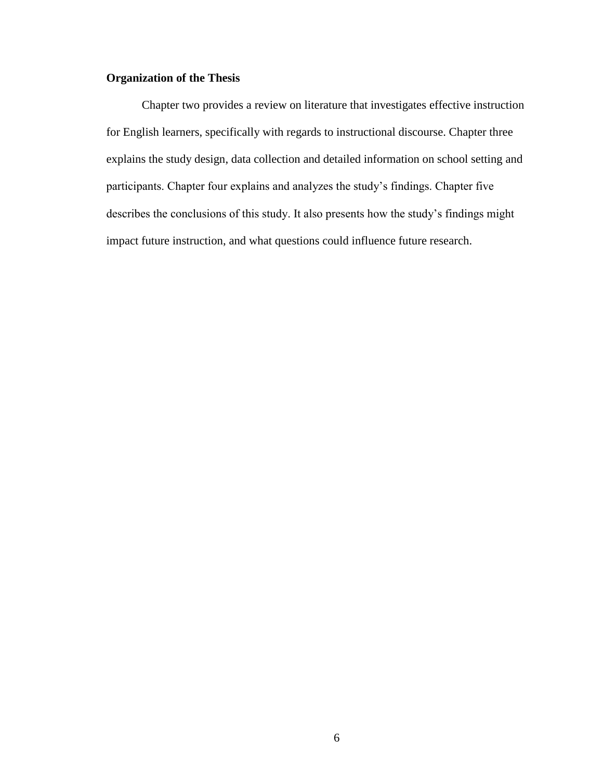### **Organization of the Thesis**

Chapter two provides a review on literature that investigates effective instruction for English learners, specifically with regards to instructional discourse. Chapter three explains the study design, data collection and detailed information on school setting and participants. Chapter four explains and analyzes the study's findings. Chapter five describes the conclusions of this study. It also presents how the study's findings might impact future instruction, and what questions could influence future research.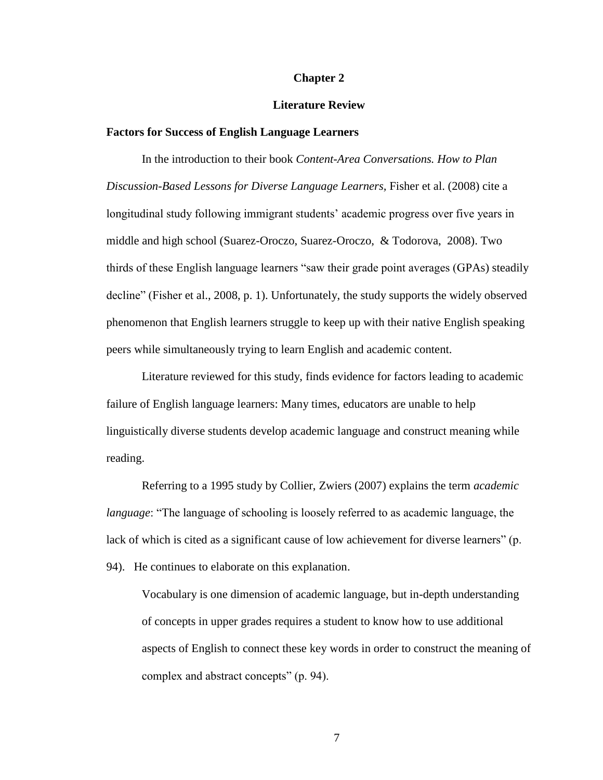#### **Chapter 2**

#### **Literature Review**

#### **Factors for Success of English Language Learners**

In the introduction to their book *Content-Area Conversations. How to Plan Discussion-Based Lessons for Diverse Language Learners,* Fisher et al. (2008) cite a longitudinal study following immigrant students' academic progress over five years in middle and high school (Suarez-Oroczo, Suarez-Oroczo, & Todorova, 2008). Two thirds of these English language learners "saw their grade point averages (GPAs) steadily decline" (Fisher et al., 2008, p. 1). Unfortunately, the study supports the widely observed phenomenon that English learners struggle to keep up with their native English speaking peers while simultaneously trying to learn English and academic content.

Literature reviewed for this study, finds evidence for factors leading to academic failure of English language learners: Many times, educators are unable to help linguistically diverse students develop academic language and construct meaning while reading.

Referring to a 1995 study by Collier, Zwiers (2007) explains the term *academic language*: "The language of schooling is loosely referred to as academic language, the lack of which is cited as a significant cause of low achievement for diverse learners" (p. 94). He continues to elaborate on this explanation.

Vocabulary is one dimension of academic language, but in-depth understanding of concepts in upper grades requires a student to know how to use additional aspects of English to connect these key words in order to construct the meaning of complex and abstract concepts" (p. 94).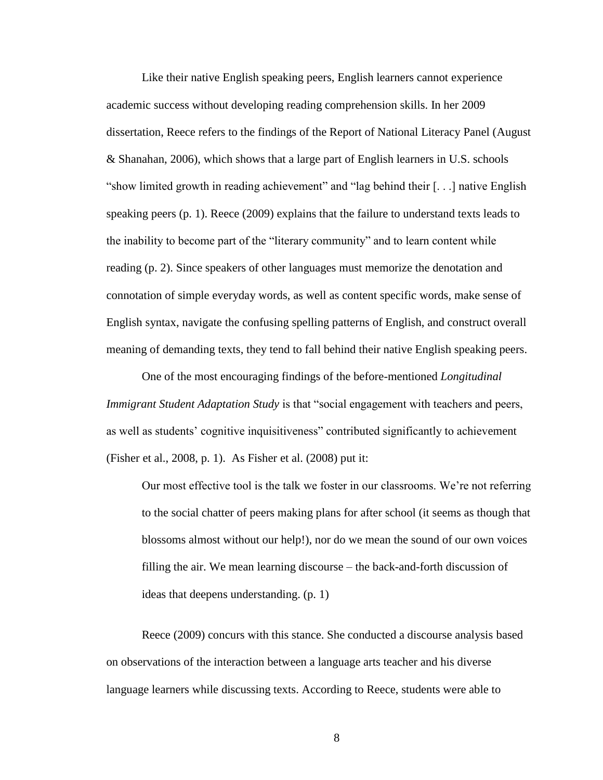Like their native English speaking peers, English learners cannot experience academic success without developing reading comprehension skills. In her 2009 dissertation, Reece refers to the findings of the Report of National Literacy Panel (August & Shanahan, 2006), which shows that a large part of English learners in U.S. schools "show limited growth in reading achievement" and "lag behind their [. . .] native English speaking peers (p. 1). Reece (2009) explains that the failure to understand texts leads to the inability to become part of the "literary community" and to learn content while reading (p. 2). Since speakers of other languages must memorize the denotation and connotation of simple everyday words, as well as content specific words, make sense of English syntax, navigate the confusing spelling patterns of English, and construct overall meaning of demanding texts, they tend to fall behind their native English speaking peers.

One of the most encouraging findings of the before-mentioned *Longitudinal Immigrant Student Adaptation Study* is that "social engagement with teachers and peers, as well as students' cognitive inquisitiveness" contributed significantly to achievement (Fisher et al., 2008, p. 1). As Fisher et al. (2008) put it:

Our most effective tool is the talk we foster in our classrooms. We're not referring to the social chatter of peers making plans for after school (it seems as though that blossoms almost without our help!), nor do we mean the sound of our own voices filling the air. We mean learning discourse – the back-and-forth discussion of ideas that deepens understanding. (p. 1)

Reece (2009) concurs with this stance. She conducted a discourse analysis based on observations of the interaction between a language arts teacher and his diverse language learners while discussing texts. According to Reece, students were able to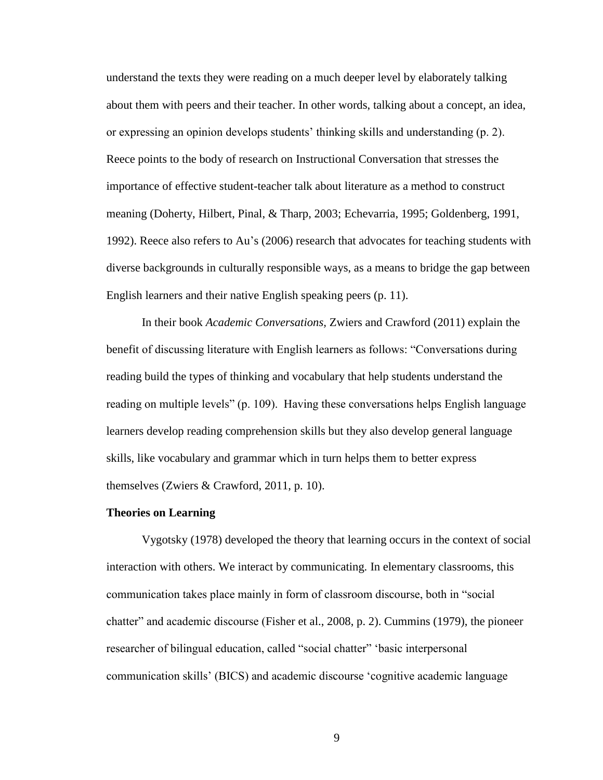understand the texts they were reading on a much deeper level by elaborately talking about them with peers and their teacher. In other words, talking about a concept, an idea, or expressing an opinion develops students' thinking skills and understanding (p. 2). Reece points to the body of research on Instructional Conversation that stresses the importance of effective student-teacher talk about literature as a method to construct meaning (Doherty, Hilbert, Pinal, & Tharp, 2003; Echevarria, 1995; Goldenberg, 1991, 1992). Reece also refers to Au's (2006) research that advocates for teaching students with diverse backgrounds in culturally responsible ways, as a means to bridge the gap between English learners and their native English speaking peers (p. 11).

In their book *Academic Conversations,* Zwiers and Crawford (2011) explain the benefit of discussing literature with English learners as follows: "Conversations during reading build the types of thinking and vocabulary that help students understand the reading on multiple levels" (p. 109). Having these conversations helps English language learners develop reading comprehension skills but they also develop general language skills, like vocabulary and grammar which in turn helps them to better express themselves (Zwiers & Crawford, 2011, p. 10).

#### **Theories on Learning**

Vygotsky (1978) developed the theory that learning occurs in the context of social interaction with others. We interact by communicating. In elementary classrooms, this communication takes place mainly in form of classroom discourse, both in "social chatter" and academic discourse (Fisher et al., 2008, p. 2). Cummins (1979), the pioneer researcher of bilingual education, called "social chatter" 'basic interpersonal communication skills' (BICS) and academic discourse 'cognitive academic language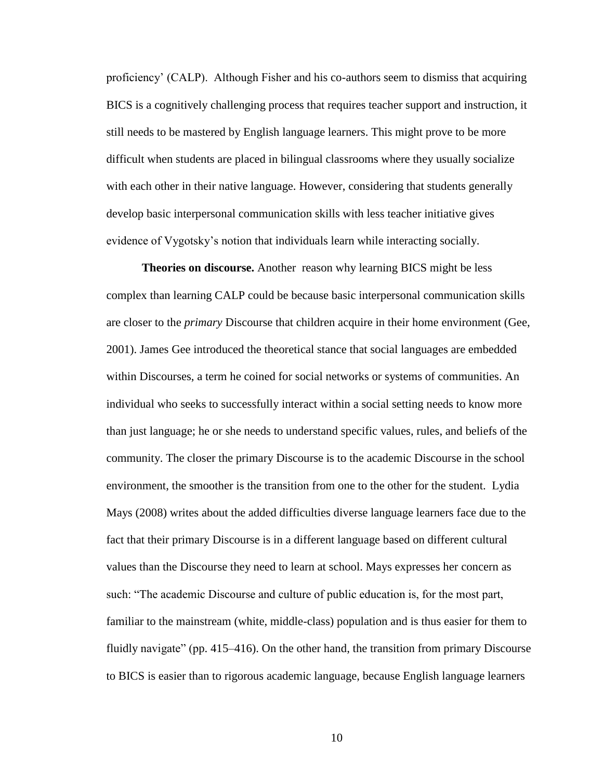proficiency' (CALP). Although Fisher and his co-authors seem to dismiss that acquiring BICS is a cognitively challenging process that requires teacher support and instruction, it still needs to be mastered by English language learners. This might prove to be more difficult when students are placed in bilingual classrooms where they usually socialize with each other in their native language. However, considering that students generally develop basic interpersonal communication skills with less teacher initiative gives evidence of Vygotsky's notion that individuals learn while interacting socially.

**Theories on discourse.** Another reason why learning BICS might be less complex than learning CALP could be because basic interpersonal communication skills are closer to the *primary* Discourse that children acquire in their home environment (Gee, 2001). James Gee introduced the theoretical stance that social languages are embedded within Discourses, a term he coined for social networks or systems of communities. An individual who seeks to successfully interact within a social setting needs to know more than just language; he or she needs to understand specific values, rules, and beliefs of the community. The closer the primary Discourse is to the academic Discourse in the school environment, the smoother is the transition from one to the other for the student. Lydia Mays (2008) writes about the added difficulties diverse language learners face due to the fact that their primary Discourse is in a different language based on different cultural values than the Discourse they need to learn at school. Mays expresses her concern as such: "The academic Discourse and culture of public education is, for the most part, familiar to the mainstream (white, middle-class) population and is thus easier for them to fluidly navigate" (pp. 415–416). On the other hand, the transition from primary Discourse to BICS is easier than to rigorous academic language, because English language learners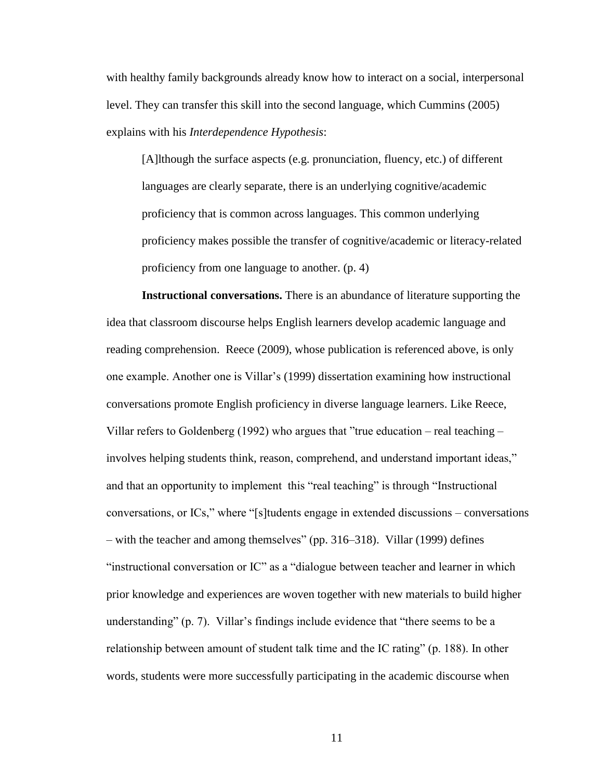with healthy family backgrounds already know how to interact on a social, interpersonal level. They can transfer this skill into the second language, which Cummins (2005) explains with his *Interdependence Hypothesis*:

[A]lthough the surface aspects (e.g. pronunciation, fluency, etc.) of different languages are clearly separate, there is an underlying cognitive/academic proficiency that is common across languages. This common underlying proficiency makes possible the transfer of cognitive/academic or literacy-related proficiency from one language to another. (p. 4)

**Instructional conversations.** There is an abundance of literature supporting the idea that classroom discourse helps English learners develop academic language and reading comprehension. Reece (2009), whose publication is referenced above, is only one example. Another one is Villar's (1999) dissertation examining how instructional conversations promote English proficiency in diverse language learners. Like Reece, Villar refers to Goldenberg (1992) who argues that "true education – real teaching – involves helping students think, reason, comprehend, and understand important ideas," and that an opportunity to implement this "real teaching" is through "Instructional conversations, or ICs," where "[s]tudents engage in extended discussions – conversations – with the teacher and among themselves" (pp. 316–318). Villar (1999) defines "instructional conversation or IC" as a "dialogue between teacher and learner in which prior knowledge and experiences are woven together with new materials to build higher understanding" (p. 7). Villar's findings include evidence that "there seems to be a relationship between amount of student talk time and the IC rating" (p. 188). In other words, students were more successfully participating in the academic discourse when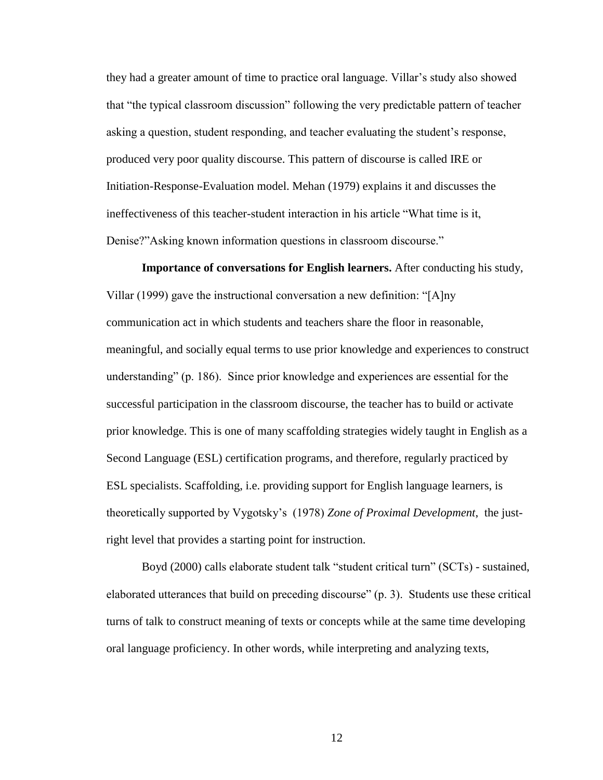they had a greater amount of time to practice oral language. Villar's study also showed that "the typical classroom discussion" following the very predictable pattern of teacher asking a question, student responding, and teacher evaluating the student's response, produced very poor quality discourse. This pattern of discourse is called IRE or Initiation-Response-Evaluation model. Mehan (1979) explains it and discusses the ineffectiveness of this teacher-student interaction in his article "What time is it, Denise?"Asking known information questions in classroom discourse."

**Importance of conversations for English learners.** After conducting his study, Villar (1999) gave the instructional conversation a new definition: "[A]ny communication act in which students and teachers share the floor in reasonable, meaningful, and socially equal terms to use prior knowledge and experiences to construct understanding" (p. 186). Since prior knowledge and experiences are essential for the successful participation in the classroom discourse, the teacher has to build or activate prior knowledge. This is one of many scaffolding strategies widely taught in English as a Second Language (ESL) certification programs, and therefore, regularly practiced by ESL specialists. Scaffolding, i.e. providing support for English language learners, is theoretically supported by Vygotsky's (1978) *Zone of Proximal Development*, the justright level that provides a starting point for instruction.

Boyd (2000) calls elaborate student talk "student critical turn" (SCTs) - sustained, elaborated utterances that build on preceding discourse" (p. 3). Students use these critical turns of talk to construct meaning of texts or concepts while at the same time developing oral language proficiency. In other words, while interpreting and analyzing texts,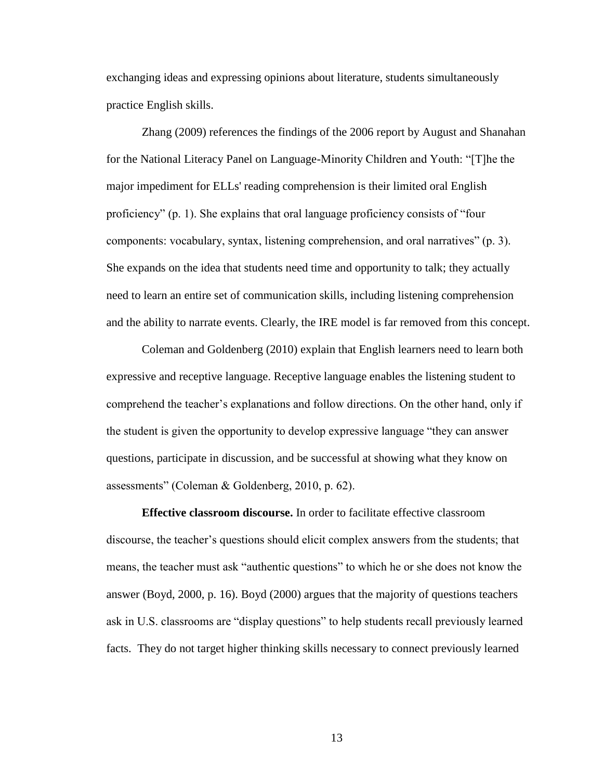exchanging ideas and expressing opinions about literature, students simultaneously practice English skills.

Zhang (2009) references the findings of the 2006 report by August and Shanahan for the National Literacy Panel on Language-Minority Children and Youth: "[T]he the major impediment for ELLs' reading comprehension is their limited oral English proficiency" (p. 1). She explains that oral language proficiency consists of "four components: vocabulary, syntax, listening comprehension, and oral narratives" (p. 3). She expands on the idea that students need time and opportunity to talk; they actually need to learn an entire set of communication skills, including listening comprehension and the ability to narrate events. Clearly, the IRE model is far removed from this concept.

Coleman and Goldenberg (2010) explain that English learners need to learn both expressive and receptive language. Receptive language enables the listening student to comprehend the teacher's explanations and follow directions. On the other hand, only if the student is given the opportunity to develop expressive language "they can answer questions, participate in discussion, and be successful at showing what they know on assessments" (Coleman & Goldenberg, 2010, p. 62).

**Effective classroom discourse.** In order to facilitate effective classroom discourse, the teacher's questions should elicit complex answers from the students; that means, the teacher must ask "authentic questions" to which he or she does not know the answer (Boyd, 2000, p. 16). Boyd (2000) argues that the majority of questions teachers ask in U.S. classrooms are "display questions" to help students recall previously learned facts. They do not target higher thinking skills necessary to connect previously learned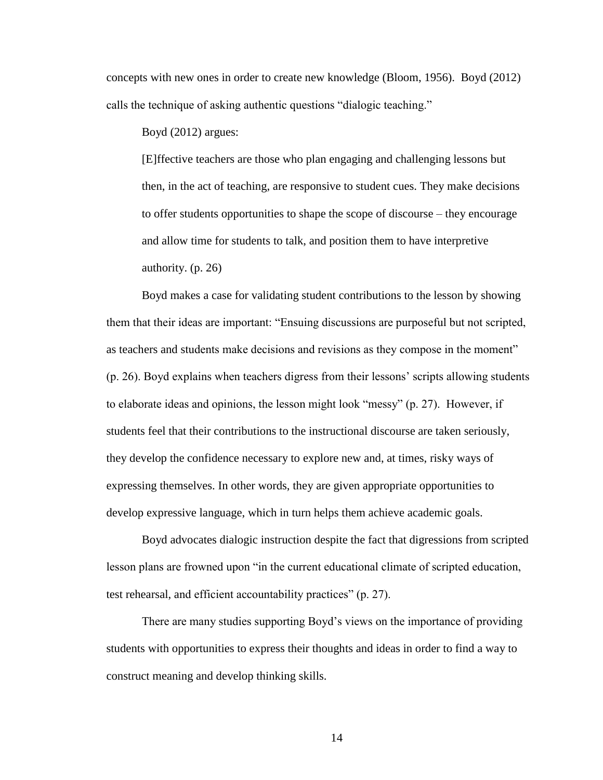concepts with new ones in order to create new knowledge (Bloom, 1956). Boyd (2012) calls the technique of asking authentic questions "dialogic teaching."

Boyd (2012) argues:

[E]ffective teachers are those who plan engaging and challenging lessons but then, in the act of teaching, are responsive to student cues. They make decisions to offer students opportunities to shape the scope of discourse – they encourage and allow time for students to talk, and position them to have interpretive authority. (p. 26)

Boyd makes a case for validating student contributions to the lesson by showing them that their ideas are important: "Ensuing discussions are purposeful but not scripted, as teachers and students make decisions and revisions as they compose in the moment" (p. 26). Boyd explains when teachers digress from their lessons' scripts allowing students to elaborate ideas and opinions, the lesson might look "messy" (p. 27). However, if students feel that their contributions to the instructional discourse are taken seriously, they develop the confidence necessary to explore new and, at times, risky ways of expressing themselves. In other words, they are given appropriate opportunities to develop expressive language, which in turn helps them achieve academic goals.

Boyd advocates dialogic instruction despite the fact that digressions from scripted lesson plans are frowned upon "in the current educational climate of scripted education, test rehearsal, and efficient accountability practices" (p. 27).

There are many studies supporting Boyd's views on the importance of providing students with opportunities to express their thoughts and ideas in order to find a way to construct meaning and develop thinking skills.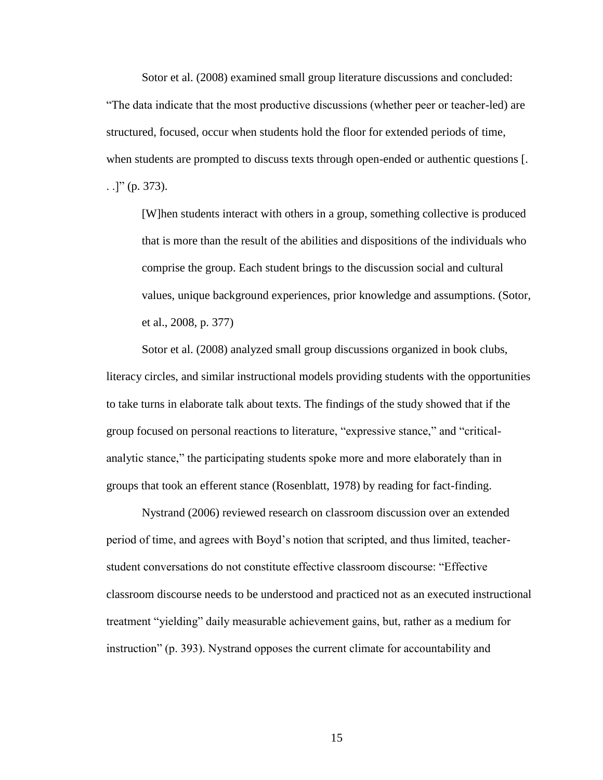Sotor et al. (2008) examined small group literature discussions and concluded:

"The data indicate that the most productive discussions (whether peer or teacher-led) are structured, focused, occur when students hold the floor for extended periods of time, when students are prompted to discuss texts through open-ended or authentic questions [. . .]" (p. 373).

[W]hen students interact with others in a group, something collective is produced that is more than the result of the abilities and dispositions of the individuals who comprise the group. Each student brings to the discussion social and cultural values, unique background experiences, prior knowledge and assumptions. (Sotor, et al., 2008, p. 377)

Sotor et al. (2008) analyzed small group discussions organized in book clubs, literacy circles, and similar instructional models providing students with the opportunities to take turns in elaborate talk about texts. The findings of the study showed that if the group focused on personal reactions to literature, "expressive stance," and "criticalanalytic stance," the participating students spoke more and more elaborately than in groups that took an efferent stance (Rosenblatt, 1978) by reading for fact-finding.

Nystrand (2006) reviewed research on classroom discussion over an extended period of time, and agrees with Boyd's notion that scripted, and thus limited, teacherstudent conversations do not constitute effective classroom discourse: "Effective classroom discourse needs to be understood and practiced not as an executed instructional treatment "yielding" daily measurable achievement gains, but, rather as a medium for instruction" (p. 393). Nystrand opposes the current climate for accountability and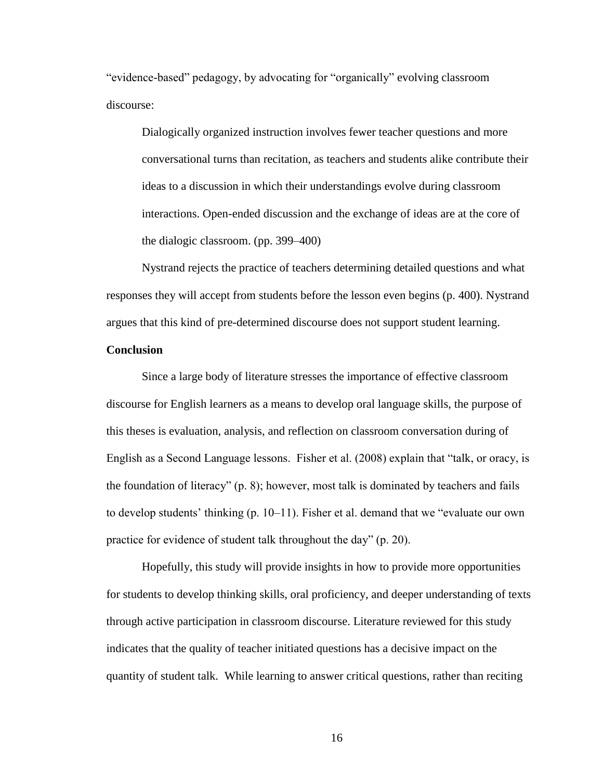"evidence-based" pedagogy, by advocating for "organically" evolving classroom discourse:

Dialogically organized instruction involves fewer teacher questions and more conversational turns than recitation, as teachers and students alike contribute their ideas to a discussion in which their understandings evolve during classroom interactions. Open-ended discussion and the exchange of ideas are at the core of the dialogic classroom. (pp. 399–400)

Nystrand rejects the practice of teachers determining detailed questions and what responses they will accept from students before the lesson even begins (p. 400). Nystrand argues that this kind of pre-determined discourse does not support student learning.

#### **Conclusion**

Since a large body of literature stresses the importance of effective classroom discourse for English learners as a means to develop oral language skills, the purpose of this theses is evaluation, analysis, and reflection on classroom conversation during of English as a Second Language lessons. Fisher et al. (2008) explain that "talk, or oracy, is the foundation of literacy" (p. 8); however, most talk is dominated by teachers and fails to develop students' thinking (p. 10–11). Fisher et al. demand that we "evaluate our own practice for evidence of student talk throughout the day" (p. 20).

Hopefully, this study will provide insights in how to provide more opportunities for students to develop thinking skills, oral proficiency, and deeper understanding of texts through active participation in classroom discourse. Literature reviewed for this study indicates that the quality of teacher initiated questions has a decisive impact on the quantity of student talk. While learning to answer critical questions, rather than reciting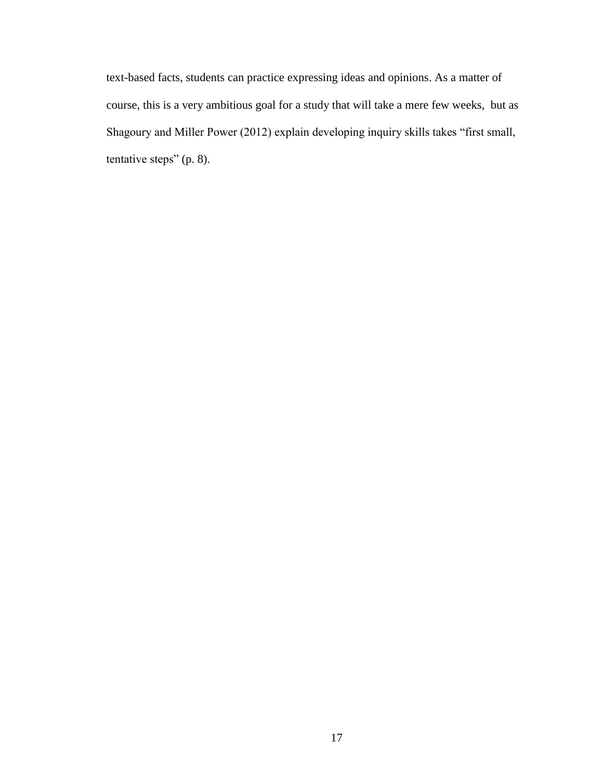text-based facts, students can practice expressing ideas and opinions. As a matter of course, this is a very ambitious goal for a study that will take a mere few weeks, but as Shagoury and Miller Power (2012) explain developing inquiry skills takes "first small, tentative steps" (p. 8).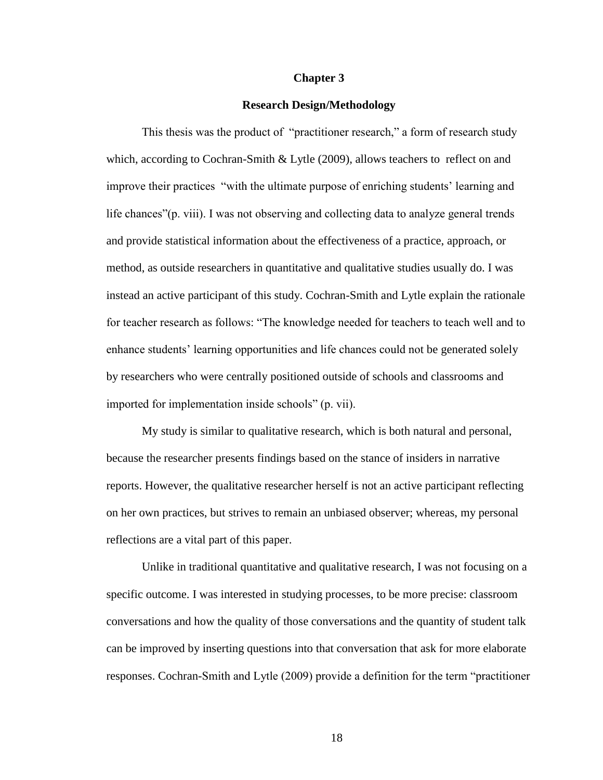#### **Chapter 3**

#### **Research Design/Methodology**

This thesis was the product of "practitioner research," a form of research study which, according to Cochran-Smith & Lytle (2009), allows teachers to reflect on and improve their practices "with the ultimate purpose of enriching students' learning and life chances"(p. viii). I was not observing and collecting data to analyze general trends and provide statistical information about the effectiveness of a practice, approach, or method, as outside researchers in quantitative and qualitative studies usually do. I was instead an active participant of this study. Cochran-Smith and Lytle explain the rationale for teacher research as follows: "The knowledge needed for teachers to teach well and to enhance students' learning opportunities and life chances could not be generated solely by researchers who were centrally positioned outside of schools and classrooms and imported for implementation inside schools" (p. vii).

My study is similar to qualitative research, which is both natural and personal, because the researcher presents findings based on the stance of insiders in narrative reports. However, the qualitative researcher herself is not an active participant reflecting on her own practices, but strives to remain an unbiased observer; whereas, my personal reflections are a vital part of this paper.

Unlike in traditional quantitative and qualitative research, I was not focusing on a specific outcome. I was interested in studying processes, to be more precise: classroom conversations and how the quality of those conversations and the quantity of student talk can be improved by inserting questions into that conversation that ask for more elaborate responses. Cochran-Smith and Lytle (2009) provide a definition for the term "practitioner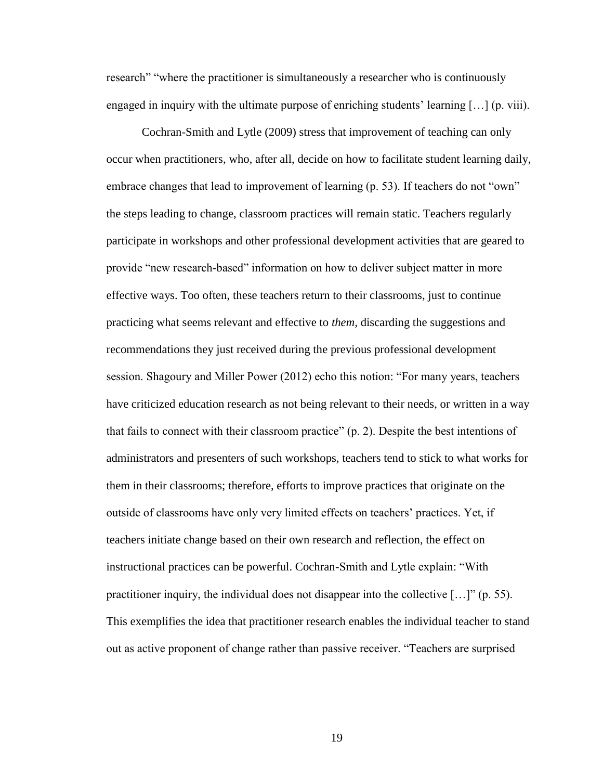research" "where the practitioner is simultaneously a researcher who is continuously engaged in inquiry with the ultimate purpose of enriching students' learning […] (p. viii).

Cochran-Smith and Lytle (2009) stress that improvement of teaching can only occur when practitioners, who, after all, decide on how to facilitate student learning daily, embrace changes that lead to improvement of learning (p. 53). If teachers do not "own" the steps leading to change, classroom practices will remain static. Teachers regularly participate in workshops and other professional development activities that are geared to provide "new research-based" information on how to deliver subject matter in more effective ways. Too often, these teachers return to their classrooms, just to continue practicing what seems relevant and effective to *them,* discarding the suggestions and recommendations they just received during the previous professional development session. Shagoury and Miller Power (2012) echo this notion: "For many years, teachers have criticized education research as not being relevant to their needs, or written in a way that fails to connect with their classroom practice" (p. 2). Despite the best intentions of administrators and presenters of such workshops, teachers tend to stick to what works for them in their classrooms; therefore, efforts to improve practices that originate on the outside of classrooms have only very limited effects on teachers' practices. Yet, if teachers initiate change based on their own research and reflection, the effect on instructional practices can be powerful. Cochran-Smith and Lytle explain: "With practitioner inquiry, the individual does not disappear into the collective […]" (p. 55). This exemplifies the idea that practitioner research enables the individual teacher to stand out as active proponent of change rather than passive receiver. "Teachers are surprised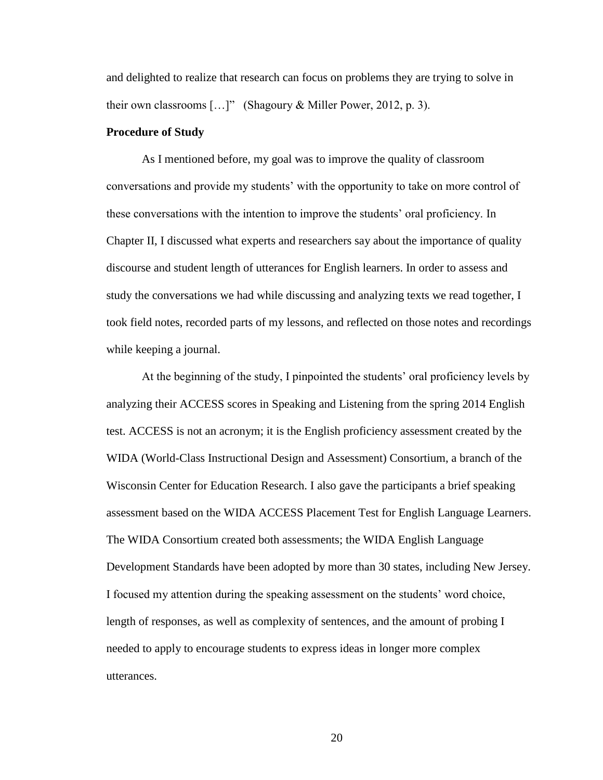and delighted to realize that research can focus on problems they are trying to solve in their own classrooms  $[...]$ " (Shagoury & Miller Power, 2012, p. 3).

#### **Procedure of Study**

As I mentioned before, my goal was to improve the quality of classroom conversations and provide my students' with the opportunity to take on more control of these conversations with the intention to improve the students' oral proficiency. In Chapter II, I discussed what experts and researchers say about the importance of quality discourse and student length of utterances for English learners. In order to assess and study the conversations we had while discussing and analyzing texts we read together, I took field notes, recorded parts of my lessons, and reflected on those notes and recordings while keeping a journal.

At the beginning of the study, I pinpointed the students' oral proficiency levels by analyzing their ACCESS scores in Speaking and Listening from the spring 2014 English test. ACCESS is not an acronym; it is the English proficiency assessment created by the WIDA (World-Class Instructional Design and Assessment) Consortium, a branch of the Wisconsin Center for Education Research. I also gave the participants a brief speaking assessment based on the WIDA ACCESS Placement Test for English Language Learners. The WIDA Consortium created both assessments; the WIDA English Language Development Standards have been adopted by more than 30 states, including New Jersey. I focused my attention during the speaking assessment on the students' word choice, length of responses, as well as complexity of sentences, and the amount of probing I needed to apply to encourage students to express ideas in longer more complex utterances.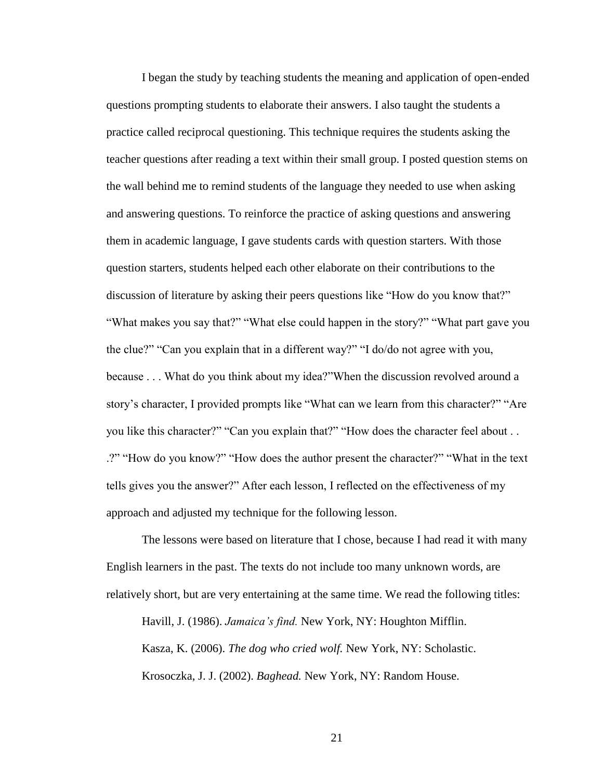I began the study by teaching students the meaning and application of open-ended questions prompting students to elaborate their answers. I also taught the students a practice called reciprocal questioning. This technique requires the students asking the teacher questions after reading a text within their small group. I posted question stems on the wall behind me to remind students of the language they needed to use when asking and answering questions. To reinforce the practice of asking questions and answering them in academic language, I gave students cards with question starters. With those question starters, students helped each other elaborate on their contributions to the discussion of literature by asking their peers questions like "How do you know that?" "What makes you say that?" "What else could happen in the story?" "What part gave you the clue?" "Can you explain that in a different way?" "I do/do not agree with you, because . . . What do you think about my idea?"When the discussion revolved around a story's character, I provided prompts like "What can we learn from this character?" "Are you like this character?" "Can you explain that?" "How does the character feel about . . .?" "How do you know?" "How does the author present the character?" "What in the text tells gives you the answer?" After each lesson, I reflected on the effectiveness of my approach and adjusted my technique for the following lesson.

The lessons were based on literature that I chose, because I had read it with many English learners in the past. The texts do not include too many unknown words, are relatively short, but are very entertaining at the same time. We read the following titles:

Havill, J. (1986). *Jamaica's find.* New York, NY: Houghton Mifflin. Kasza, K. (2006). *The dog who cried wolf.* New York, NY: Scholastic. Krosoczka, J. J. (2002). *Baghead.* New York, NY: Random House.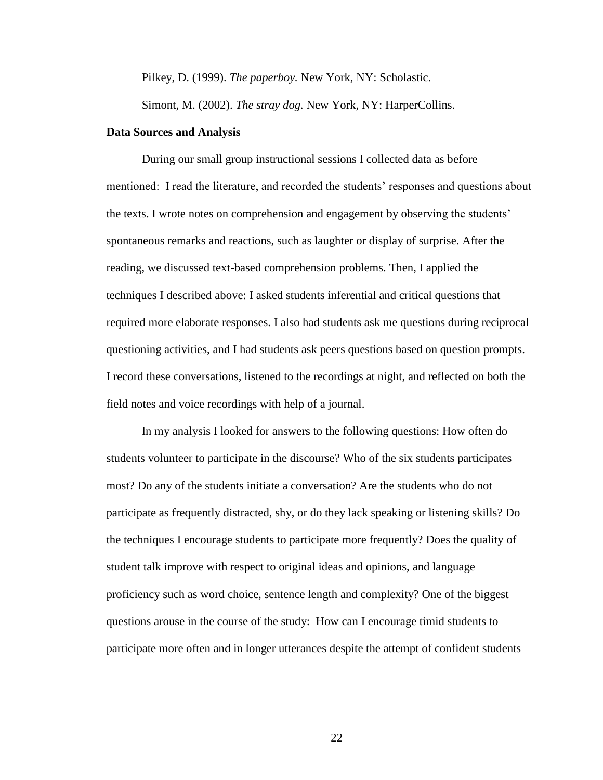Pilkey, D. (1999). *The paperboy.* New York, NY: Scholastic.

Simont, M. (2002). *The stray dog.* New York, NY: HarperCollins.

#### **Data Sources and Analysis**

During our small group instructional sessions I collected data as before mentioned: I read the literature, and recorded the students' responses and questions about the texts. I wrote notes on comprehension and engagement by observing the students' spontaneous remarks and reactions, such as laughter or display of surprise. After the reading, we discussed text-based comprehension problems. Then, I applied the techniques I described above: I asked students inferential and critical questions that required more elaborate responses. I also had students ask me questions during reciprocal questioning activities, and I had students ask peers questions based on question prompts. I record these conversations, listened to the recordings at night, and reflected on both the field notes and voice recordings with help of a journal.

In my analysis I looked for answers to the following questions: How often do students volunteer to participate in the discourse? Who of the six students participates most? Do any of the students initiate a conversation? Are the students who do not participate as frequently distracted, shy, or do they lack speaking or listening skills? Do the techniques I encourage students to participate more frequently? Does the quality of student talk improve with respect to original ideas and opinions, and language proficiency such as word choice, sentence length and complexity? One of the biggest questions arouse in the course of the study: How can I encourage timid students to participate more often and in longer utterances despite the attempt of confident students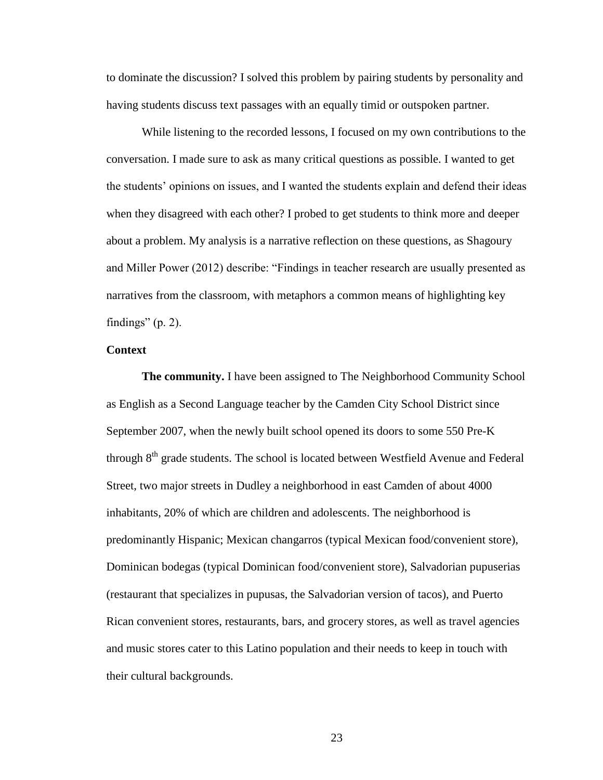to dominate the discussion? I solved this problem by pairing students by personality and having students discuss text passages with an equally timid or outspoken partner.

While listening to the recorded lessons, I focused on my own contributions to the conversation. I made sure to ask as many critical questions as possible. I wanted to get the students' opinions on issues, and I wanted the students explain and defend their ideas when they disagreed with each other? I probed to get students to think more and deeper about a problem. My analysis is a narrative reflection on these questions, as Shagoury and Miller Power (2012) describe: "Findings in teacher research are usually presented as narratives from the classroom, with metaphors a common means of highlighting key findings"  $(p. 2)$ .

#### **Context**

**The community.** I have been assigned to The Neighborhood Community School as English as a Second Language teacher by the Camden City School District since September 2007, when the newly built school opened its doors to some 550 Pre-K through 8<sup>th</sup> grade students. The school is located between Westfield Avenue and Federal Street, two major streets in Dudley a neighborhood in east Camden of about 4000 inhabitants, 20% of which are children and adolescents. The neighborhood is predominantly Hispanic; Mexican changarros (typical Mexican food/convenient store), Dominican bodegas (typical Dominican food/convenient store), Salvadorian pupuserias (restaurant that specializes in pupusas, the Salvadorian version of tacos), and Puerto Rican convenient stores, restaurants, bars, and grocery stores, as well as travel agencies and music stores cater to this Latino population and their needs to keep in touch with their cultural backgrounds.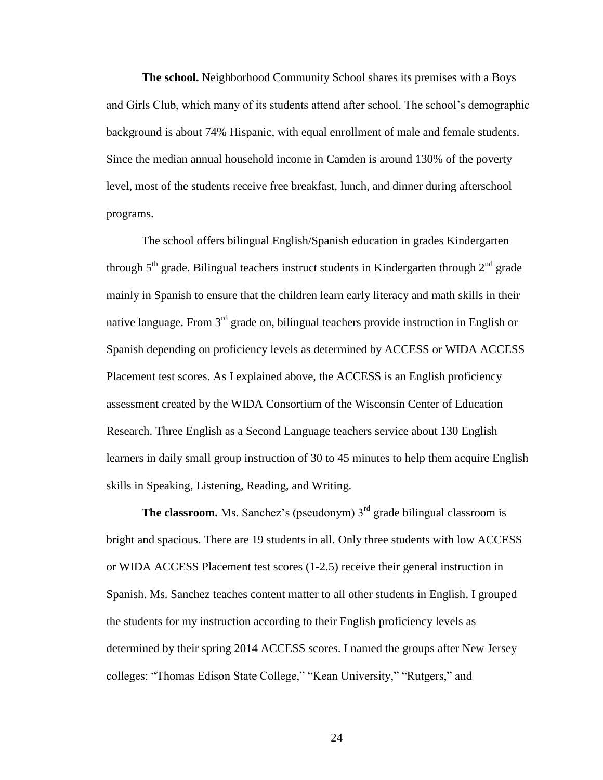**The school.** Neighborhood Community School shares its premises with a Boys and Girls Club, which many of its students attend after school. The school's demographic background is about 74% Hispanic, with equal enrollment of male and female students. Since the median annual household income in Camden is around 130% of the poverty level, most of the students receive free breakfast, lunch, and dinner during afterschool programs.

The school offers bilingual English/Spanish education in grades Kindergarten through  $5<sup>th</sup>$  grade. Bilingual teachers instruct students in Kindergarten through  $2<sup>nd</sup>$  grade mainly in Spanish to ensure that the children learn early literacy and math skills in their native language. From 3<sup>rd</sup> grade on, bilingual teachers provide instruction in English or Spanish depending on proficiency levels as determined by ACCESS or WIDA ACCESS Placement test scores. As I explained above, the ACCESS is an English proficiency assessment created by the WIDA Consortium of the Wisconsin Center of Education Research. Three English as a Second Language teachers service about 130 English learners in daily small group instruction of 30 to 45 minutes to help them acquire English skills in Speaking, Listening, Reading, and Writing.

**The classroom.** Ms. Sanchez's (pseudonym)  $3<sup>rd</sup>$  grade bilingual classroom is bright and spacious. There are 19 students in all. Only three students with low ACCESS or WIDA ACCESS Placement test scores (1-2.5) receive their general instruction in Spanish. Ms. Sanchez teaches content matter to all other students in English. I grouped the students for my instruction according to their English proficiency levels as determined by their spring 2014 ACCESS scores. I named the groups after New Jersey colleges: "Thomas Edison State College," "Kean University," "Rutgers," and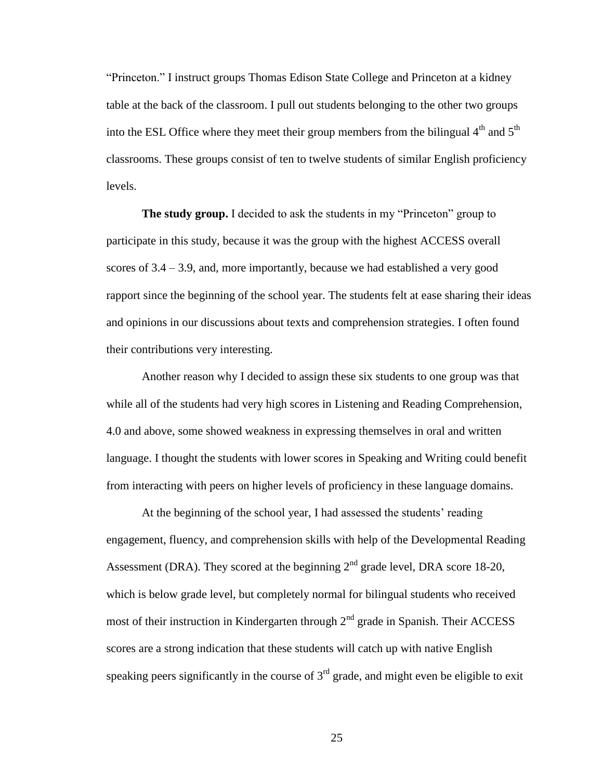"Princeton." I instruct groups Thomas Edison State College and Princeton at a kidney table at the back of the classroom. I pull out students belonging to the other two groups into the ESL Office where they meet their group members from the bilingual  $4<sup>th</sup>$  and  $5<sup>th</sup>$ classrooms. These groups consist of ten to twelve students of similar English proficiency levels.

**The study group.** I decided to ask the students in my "Princeton" group to participate in this study, because it was the group with the highest ACCESS overall scores of  $3.4 - 3.9$ , and, more importantly, because we had established a very good rapport since the beginning of the school year. The students felt at ease sharing their ideas and opinions in our discussions about texts and comprehension strategies. I often found their contributions very interesting.

Another reason why I decided to assign these six students to one group was that while all of the students had very high scores in Listening and Reading Comprehension, 4.0 and above, some showed weakness in expressing themselves in oral and written language. I thought the students with lower scores in Speaking and Writing could benefit from interacting with peers on higher levels of proficiency in these language domains.

At the beginning of the school year, I had assessed the students' reading engagement, fluency, and comprehension skills with help of the Developmental Reading Assessment (DRA). They scored at the beginning  $2<sup>nd</sup>$  grade level, DRA score 18-20, which is below grade level, but completely normal for bilingual students who received most of their instruction in Kindergarten through  $2<sup>nd</sup>$  grade in Spanish. Their ACCESS scores are a strong indication that these students will catch up with native English speaking peers significantly in the course of  $3<sup>rd</sup>$  grade, and might even be eligible to exit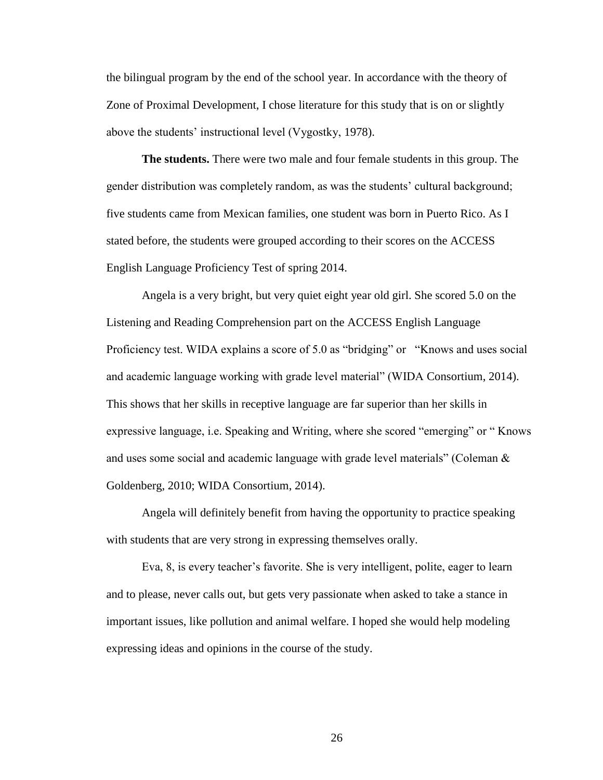the bilingual program by the end of the school year. In accordance with the theory of Zone of Proximal Development, I chose literature for this study that is on or slightly above the students' instructional level (Vygostky, 1978).

**The students.** There were two male and four female students in this group. The gender distribution was completely random, as was the students' cultural background; five students came from Mexican families, one student was born in Puerto Rico. As I stated before, the students were grouped according to their scores on the ACCESS English Language Proficiency Test of spring 2014.

Angela is a very bright, but very quiet eight year old girl. She scored 5.0 on the Listening and Reading Comprehension part on the ACCESS English Language Proficiency test. WIDA explains a score of 5.0 as "bridging" or "Knows and uses social and academic language working with grade level material" (WIDA Consortium, 2014). This shows that her skills in receptive language are far superior than her skills in expressive language, i.e. Speaking and Writing, where she scored "emerging" or " Knows and uses some social and academic language with grade level materials" (Coleman  $\&$ Goldenberg, 2010; WIDA Consortium, 2014).

Angela will definitely benefit from having the opportunity to practice speaking with students that are very strong in expressing themselves orally.

Eva, 8, is every teacher's favorite. She is very intelligent, polite, eager to learn and to please, never calls out, but gets very passionate when asked to take a stance in important issues, like pollution and animal welfare. I hoped she would help modeling expressing ideas and opinions in the course of the study.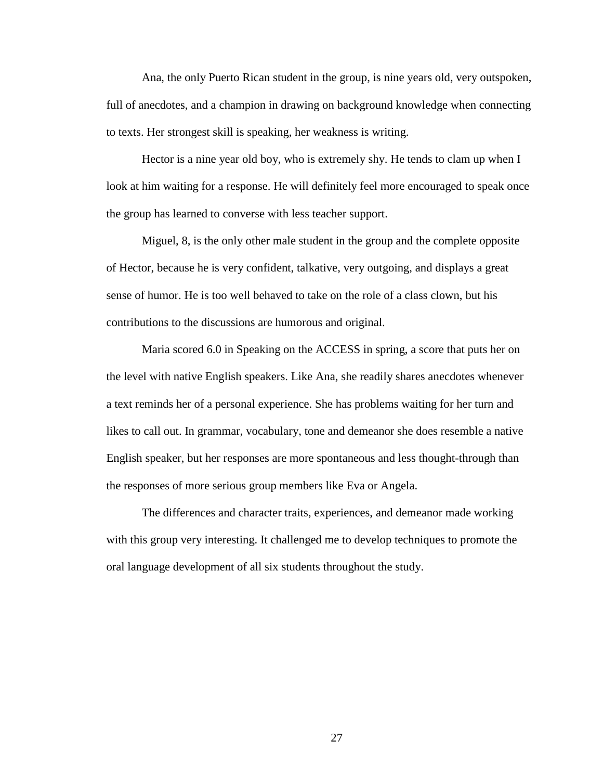Ana, the only Puerto Rican student in the group, is nine years old, very outspoken, full of anecdotes, and a champion in drawing on background knowledge when connecting to texts. Her strongest skill is speaking, her weakness is writing.

Hector is a nine year old boy, who is extremely shy. He tends to clam up when I look at him waiting for a response. He will definitely feel more encouraged to speak once the group has learned to converse with less teacher support.

Miguel, 8, is the only other male student in the group and the complete opposite of Hector, because he is very confident, talkative, very outgoing, and displays a great sense of humor. He is too well behaved to take on the role of a class clown, but his contributions to the discussions are humorous and original.

Maria scored 6.0 in Speaking on the ACCESS in spring, a score that puts her on the level with native English speakers. Like Ana, she readily shares anecdotes whenever a text reminds her of a personal experience. She has problems waiting for her turn and likes to call out. In grammar, vocabulary, tone and demeanor she does resemble a native English speaker, but her responses are more spontaneous and less thought-through than the responses of more serious group members like Eva or Angela.

The differences and character traits, experiences, and demeanor made working with this group very interesting. It challenged me to develop techniques to promote the oral language development of all six students throughout the study.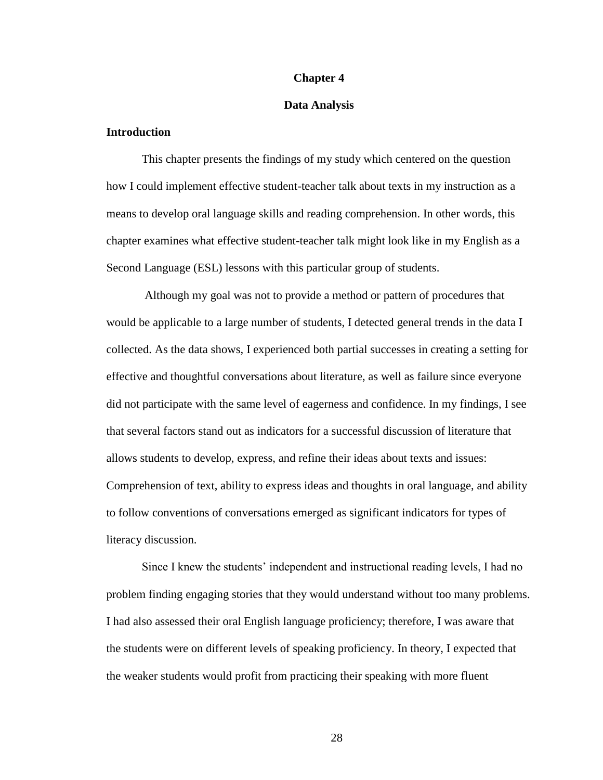#### **Chapter 4**

#### **Data Analysis**

### **Introduction**

This chapter presents the findings of my study which centered on the question how I could implement effective student-teacher talk about texts in my instruction as a means to develop oral language skills and reading comprehension. In other words, this chapter examines what effective student-teacher talk might look like in my English as a Second Language (ESL) lessons with this particular group of students.

Although my goal was not to provide a method or pattern of procedures that would be applicable to a large number of students, I detected general trends in the data I collected. As the data shows, I experienced both partial successes in creating a setting for effective and thoughtful conversations about literature, as well as failure since everyone did not participate with the same level of eagerness and confidence. In my findings, I see that several factors stand out as indicators for a successful discussion of literature that allows students to develop, express, and refine their ideas about texts and issues: Comprehension of text, ability to express ideas and thoughts in oral language, and ability to follow conventions of conversations emerged as significant indicators for types of literacy discussion.

Since I knew the students' independent and instructional reading levels, I had no problem finding engaging stories that they would understand without too many problems. I had also assessed their oral English language proficiency; therefore, I was aware that the students were on different levels of speaking proficiency. In theory, I expected that the weaker students would profit from practicing their speaking with more fluent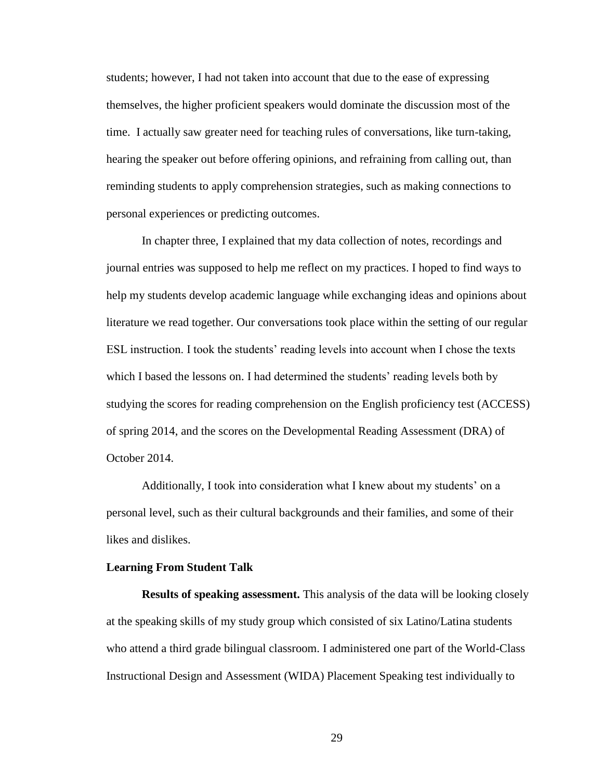students; however, I had not taken into account that due to the ease of expressing themselves, the higher proficient speakers would dominate the discussion most of the time. I actually saw greater need for teaching rules of conversations, like turn-taking, hearing the speaker out before offering opinions, and refraining from calling out, than reminding students to apply comprehension strategies, such as making connections to personal experiences or predicting outcomes.

In chapter three, I explained that my data collection of notes, recordings and journal entries was supposed to help me reflect on my practices. I hoped to find ways to help my students develop academic language while exchanging ideas and opinions about literature we read together. Our conversations took place within the setting of our regular ESL instruction. I took the students' reading levels into account when I chose the texts which I based the lessons on. I had determined the students' reading levels both by studying the scores for reading comprehension on the English proficiency test (ACCESS) of spring 2014, and the scores on the Developmental Reading Assessment (DRA) of October 2014.

Additionally, I took into consideration what I knew about my students' on a personal level, such as their cultural backgrounds and their families, and some of their likes and dislikes.

#### **Learning From Student Talk**

**Results of speaking assessment.** This analysis of the data will be looking closely at the speaking skills of my study group which consisted of six Latino/Latina students who attend a third grade bilingual classroom. I administered one part of the World-Class Instructional Design and Assessment (WIDA) Placement Speaking test individually to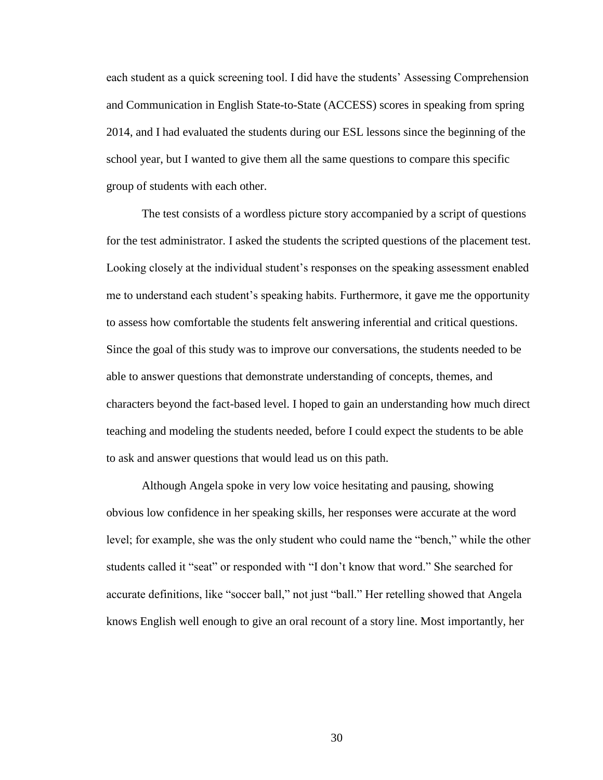each student as a quick screening tool. I did have the students' Assessing Comprehension and Communication in English State-to-State (ACCESS) scores in speaking from spring 2014, and I had evaluated the students during our ESL lessons since the beginning of the school year, but I wanted to give them all the same questions to compare this specific group of students with each other.

The test consists of a wordless picture story accompanied by a script of questions for the test administrator. I asked the students the scripted questions of the placement test. Looking closely at the individual student's responses on the speaking assessment enabled me to understand each student's speaking habits. Furthermore, it gave me the opportunity to assess how comfortable the students felt answering inferential and critical questions. Since the goal of this study was to improve our conversations, the students needed to be able to answer questions that demonstrate understanding of concepts, themes, and characters beyond the fact-based level. I hoped to gain an understanding how much direct teaching and modeling the students needed, before I could expect the students to be able to ask and answer questions that would lead us on this path.

Although Angela spoke in very low voice hesitating and pausing, showing obvious low confidence in her speaking skills, her responses were accurate at the word level; for example, she was the only student who could name the "bench," while the other students called it "seat" or responded with "I don't know that word." She searched for accurate definitions, like "soccer ball," not just "ball." Her retelling showed that Angela knows English well enough to give an oral recount of a story line. Most importantly, her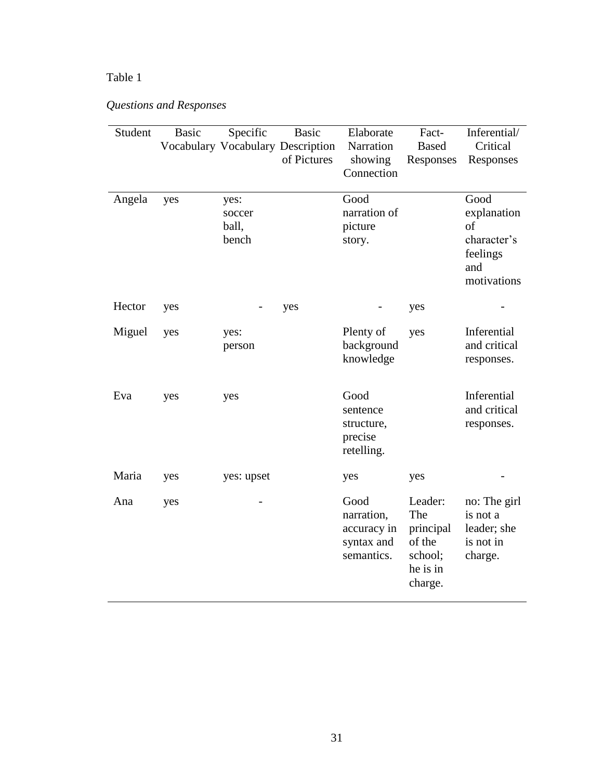## Table 1

# *Questions and Responses*

| Student | <b>Basic</b> | Specific                         | <b>Basic</b><br>Vocabulary Vocabulary Description<br>of Pictures | Elaborate<br>Narration<br>showing<br>Connection               | Fact-<br><b>Based</b><br>Responses                                      | Inferential/<br>Critical<br>Responses                                      |
|---------|--------------|----------------------------------|------------------------------------------------------------------|---------------------------------------------------------------|-------------------------------------------------------------------------|----------------------------------------------------------------------------|
| Angela  | yes          | yes:<br>soccer<br>ball,<br>bench |                                                                  | Good<br>narration of<br>picture<br>story.                     |                                                                         | Good<br>explanation<br>of<br>character's<br>feelings<br>and<br>motivations |
| Hector  | yes          |                                  | yes                                                              |                                                               | yes                                                                     |                                                                            |
| Miguel  | yes          | yes:<br>person                   |                                                                  | Plenty of<br>background<br>knowledge                          | yes                                                                     | Inferential<br>and critical<br>responses.                                  |
| Eva     | yes          | yes                              |                                                                  | Good<br>sentence<br>structure,<br>precise<br>retelling.       |                                                                         | Inferential<br>and critical<br>responses.                                  |
| Maria   | yes          | yes: upset                       |                                                                  | yes                                                           | yes                                                                     |                                                                            |
| Ana     | yes          |                                  |                                                                  | Good<br>narration,<br>accuracy in<br>syntax and<br>semantics. | Leader:<br>The<br>principal<br>of the<br>school;<br>he is in<br>charge. | no: The girl<br>is not a<br>leader; she<br>is not in<br>charge.            |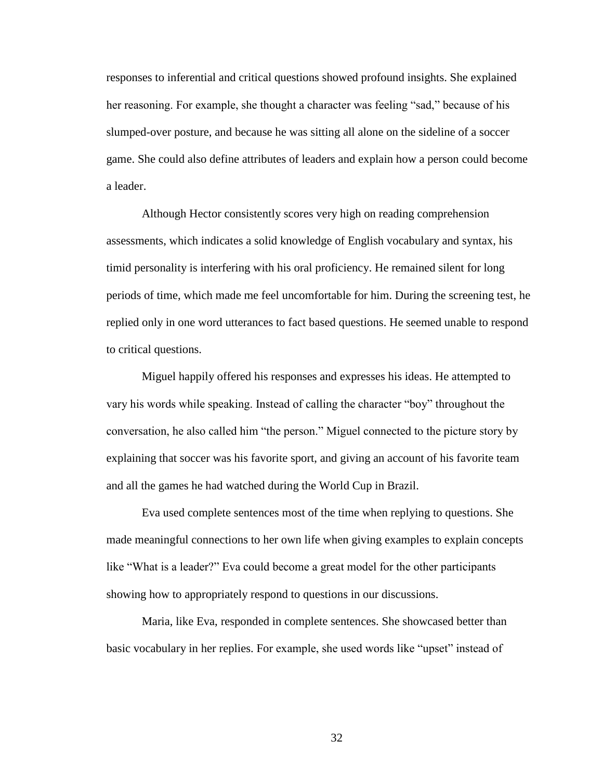responses to inferential and critical questions showed profound insights. She explained her reasoning. For example, she thought a character was feeling "sad," because of his slumped-over posture, and because he was sitting all alone on the sideline of a soccer game. She could also define attributes of leaders and explain how a person could become a leader.

Although Hector consistently scores very high on reading comprehension assessments, which indicates a solid knowledge of English vocabulary and syntax, his timid personality is interfering with his oral proficiency. He remained silent for long periods of time, which made me feel uncomfortable for him. During the screening test, he replied only in one word utterances to fact based questions. He seemed unable to respond to critical questions.

Miguel happily offered his responses and expresses his ideas. He attempted to vary his words while speaking. Instead of calling the character "boy" throughout the conversation, he also called him "the person." Miguel connected to the picture story by explaining that soccer was his favorite sport, and giving an account of his favorite team and all the games he had watched during the World Cup in Brazil.

Eva used complete sentences most of the time when replying to questions. She made meaningful connections to her own life when giving examples to explain concepts like "What is a leader?" Eva could become a great model for the other participants showing how to appropriately respond to questions in our discussions.

Maria, like Eva, responded in complete sentences. She showcased better than basic vocabulary in her replies. For example, she used words like "upset" instead of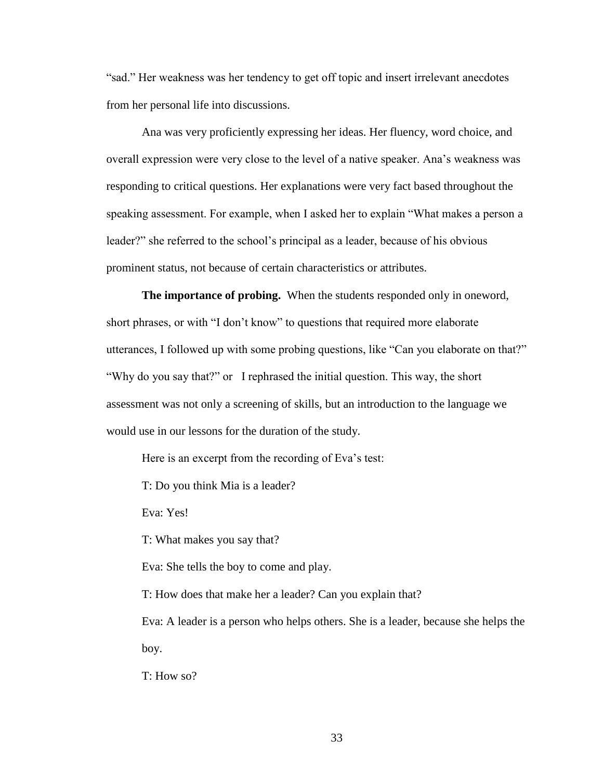"sad." Her weakness was her tendency to get off topic and insert irrelevant anecdotes from her personal life into discussions.

Ana was very proficiently expressing her ideas. Her fluency, word choice, and overall expression were very close to the level of a native speaker. Ana's weakness was responding to critical questions. Her explanations were very fact based throughout the speaking assessment. For example, when I asked her to explain "What makes a person a leader?" she referred to the school's principal as a leader, because of his obvious prominent status, not because of certain characteristics or attributes.

**The importance of probing.** When the students responded only in oneword, short phrases, or with "I don't know" to questions that required more elaborate utterances, I followed up with some probing questions, like "Can you elaborate on that?" "Why do you say that?" or I rephrased the initial question. This way, the short assessment was not only a screening of skills, but an introduction to the language we would use in our lessons for the duration of the study.

Here is an excerpt from the recording of Eva's test:

T: Do you think Mia is a leader?

Eva: Yes!

T: What makes you say that?

Eva: She tells the boy to come and play.

T: How does that make her a leader? Can you explain that?

Eva: A leader is a person who helps others. She is a leader, because she helps the boy.

T: How so?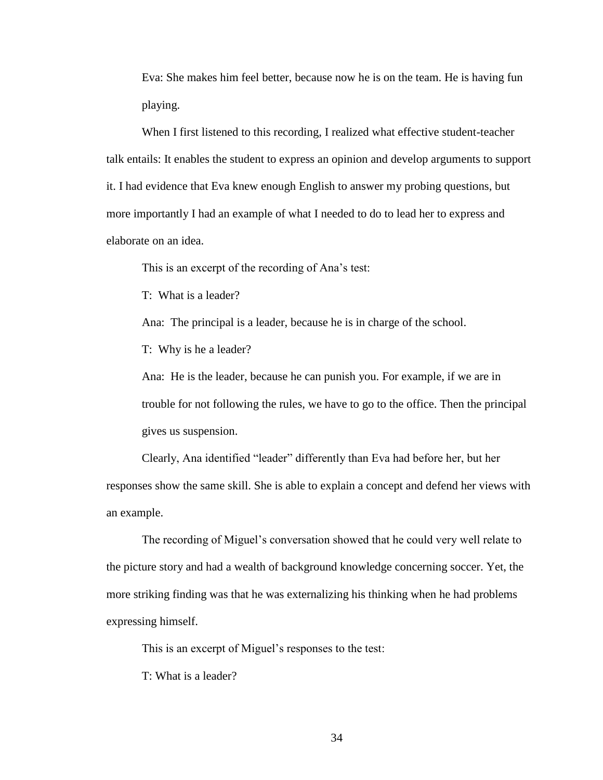Eva: She makes him feel better, because now he is on the team. He is having fun playing.

When I first listened to this recording, I realized what effective student-teacher talk entails: It enables the student to express an opinion and develop arguments to support it. I had evidence that Eva knew enough English to answer my probing questions, but more importantly I had an example of what I needed to do to lead her to express and elaborate on an idea.

This is an excerpt of the recording of Ana's test:

T: What is a leader?

Ana: The principal is a leader, because he is in charge of the school.

T: Why is he a leader?

Ana: He is the leader, because he can punish you. For example, if we are in trouble for not following the rules, we have to go to the office. Then the principal gives us suspension.

Clearly, Ana identified "leader" differently than Eva had before her, but her responses show the same skill. She is able to explain a concept and defend her views with an example.

The recording of Miguel's conversation showed that he could very well relate to the picture story and had a wealth of background knowledge concerning soccer. Yet, the more striking finding was that he was externalizing his thinking when he had problems expressing himself.

This is an excerpt of Miguel's responses to the test:

T: What is a leader?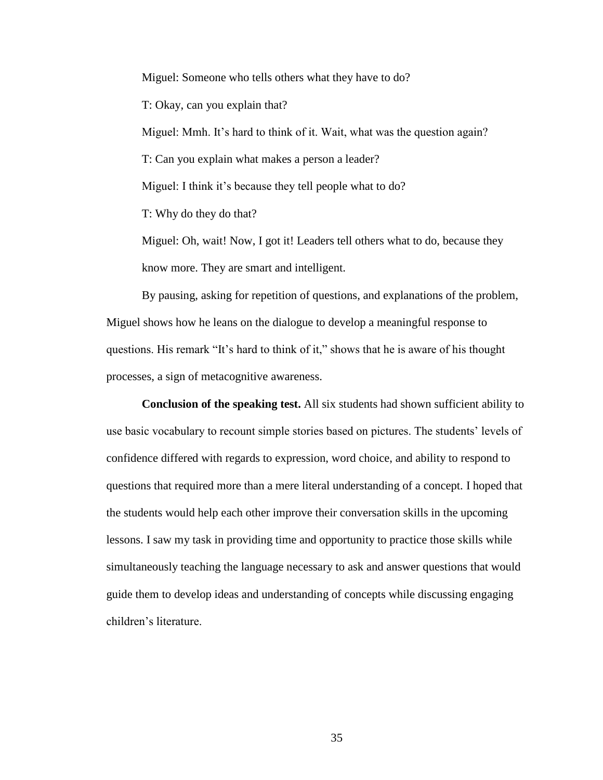Miguel: Someone who tells others what they have to do? T: Okay, can you explain that? Miguel: Mmh. It's hard to think of it. Wait, what was the question again? T: Can you explain what makes a person a leader? Miguel: I think it's because they tell people what to do? T: Why do they do that? Miguel: Oh, wait! Now, I got it! Leaders tell others what to do, because they

know more. They are smart and intelligent.

By pausing, asking for repetition of questions, and explanations of the problem, Miguel shows how he leans on the dialogue to develop a meaningful response to questions. His remark "It's hard to think of it," shows that he is aware of his thought processes, a sign of metacognitive awareness.

**Conclusion of the speaking test.** All six students had shown sufficient ability to use basic vocabulary to recount simple stories based on pictures. The students' levels of confidence differed with regards to expression, word choice, and ability to respond to questions that required more than a mere literal understanding of a concept. I hoped that the students would help each other improve their conversation skills in the upcoming lessons. I saw my task in providing time and opportunity to practice those skills while simultaneously teaching the language necessary to ask and answer questions that would guide them to develop ideas and understanding of concepts while discussing engaging children's literature.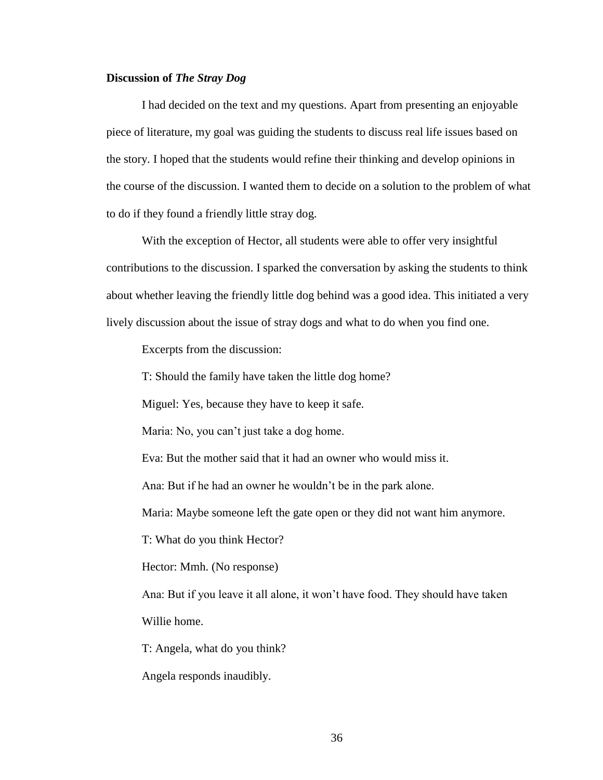#### **Discussion of** *The Stray Dog*

I had decided on the text and my questions. Apart from presenting an enjoyable piece of literature, my goal was guiding the students to discuss real life issues based on the story. I hoped that the students would refine their thinking and develop opinions in the course of the discussion. I wanted them to decide on a solution to the problem of what to do if they found a friendly little stray dog.

With the exception of Hector, all students were able to offer very insightful contributions to the discussion. I sparked the conversation by asking the students to think about whether leaving the friendly little dog behind was a good idea. This initiated a very lively discussion about the issue of stray dogs and what to do when you find one.

Excerpts from the discussion:

T: Should the family have taken the little dog home?

Miguel: Yes, because they have to keep it safe.

Maria: No, you can't just take a dog home.

Eva: But the mother said that it had an owner who would miss it.

Ana: But if he had an owner he wouldn't be in the park alone.

Maria: Maybe someone left the gate open or they did not want him anymore.

T: What do you think Hector?

Hector: Mmh. (No response)

Ana: But if you leave it all alone, it won't have food. They should have taken Willie home.

T: Angela, what do you think?

Angela responds inaudibly.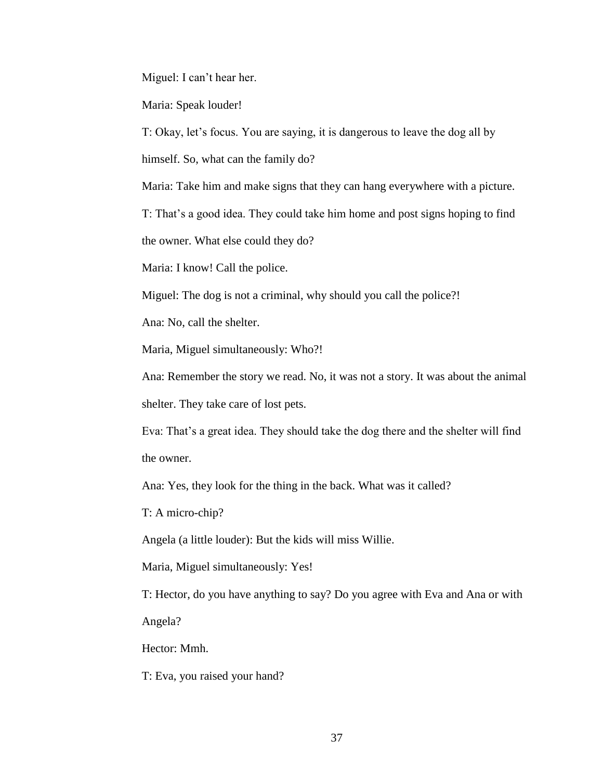Miguel: I can't hear her.

Maria: Speak louder!

T: Okay, let's focus. You are saying, it is dangerous to leave the dog all by

himself. So, what can the family do?

Maria: Take him and make signs that they can hang everywhere with a picture.

T: That's a good idea. They could take him home and post signs hoping to find

the owner. What else could they do?

Maria: I know! Call the police.

Miguel: The dog is not a criminal, why should you call the police?!

Ana: No, call the shelter.

Maria, Miguel simultaneously: Who?!

Ana: Remember the story we read. No, it was not a story. It was about the animal shelter. They take care of lost pets.

Eva: That's a great idea. They should take the dog there and the shelter will find the owner.

Ana: Yes, they look for the thing in the back. What was it called?

T: A micro-chip?

Angela (a little louder): But the kids will miss Willie.

Maria, Miguel simultaneously: Yes!

T: Hector, do you have anything to say? Do you agree with Eva and Ana or with

Angela?

Hector: Mmh.

T: Eva, you raised your hand?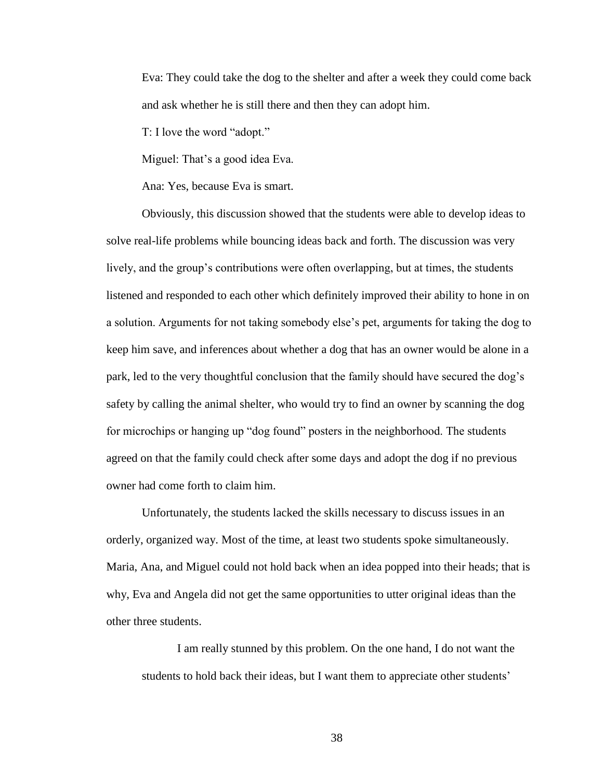Eva: They could take the dog to the shelter and after a week they could come back and ask whether he is still there and then they can adopt him.

T: I love the word "adopt."

Miguel: That's a good idea Eva.

Ana: Yes, because Eva is smart.

Obviously, this discussion showed that the students were able to develop ideas to solve real-life problems while bouncing ideas back and forth. The discussion was very lively, and the group's contributions were often overlapping, but at times, the students listened and responded to each other which definitely improved their ability to hone in on a solution. Arguments for not taking somebody else's pet, arguments for taking the dog to keep him save, and inferences about whether a dog that has an owner would be alone in a park, led to the very thoughtful conclusion that the family should have secured the dog's safety by calling the animal shelter, who would try to find an owner by scanning the dog for microchips or hanging up "dog found" posters in the neighborhood. The students agreed on that the family could check after some days and adopt the dog if no previous owner had come forth to claim him.

Unfortunately, the students lacked the skills necessary to discuss issues in an orderly, organized way. Most of the time, at least two students spoke simultaneously. Maria, Ana, and Miguel could not hold back when an idea popped into their heads; that is why, Eva and Angela did not get the same opportunities to utter original ideas than the other three students.

I am really stunned by this problem. On the one hand, I do not want the students to hold back their ideas, but I want them to appreciate other students'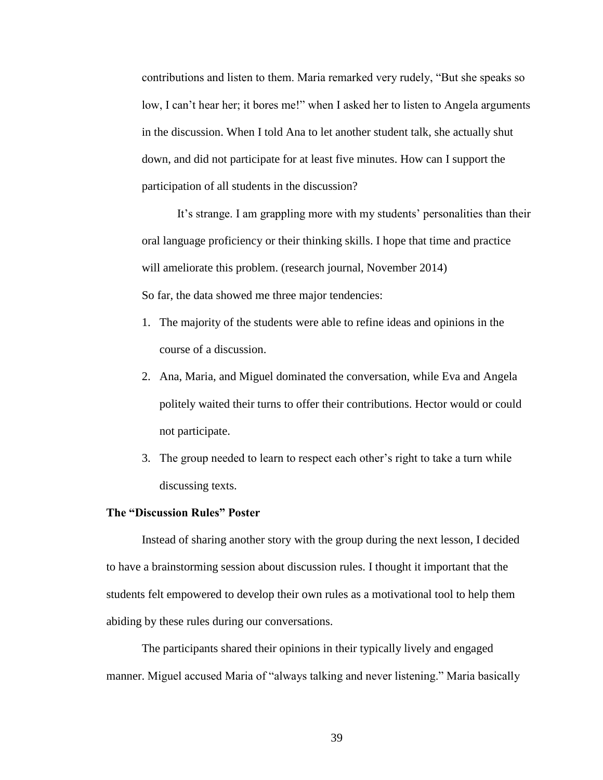contributions and listen to them. Maria remarked very rudely, "But she speaks so low, I can't hear her; it bores me!" when I asked her to listen to Angela arguments in the discussion. When I told Ana to let another student talk, she actually shut down, and did not participate for at least five minutes. How can I support the participation of all students in the discussion?

It's strange. I am grappling more with my students' personalities than their oral language proficiency or their thinking skills. I hope that time and practice will ameliorate this problem. (research journal, November 2014) So far, the data showed me three major tendencies:

- 1. The majority of the students were able to refine ideas and opinions in the course of a discussion.
- 2. Ana, Maria, and Miguel dominated the conversation, while Eva and Angela politely waited their turns to offer their contributions. Hector would or could not participate.
- 3. The group needed to learn to respect each other's right to take a turn while discussing texts.

#### **The "Discussion Rules" Poster**

Instead of sharing another story with the group during the next lesson, I decided to have a brainstorming session about discussion rules. I thought it important that the students felt empowered to develop their own rules as a motivational tool to help them abiding by these rules during our conversations.

The participants shared their opinions in their typically lively and engaged manner. Miguel accused Maria of "always talking and never listening." Maria basically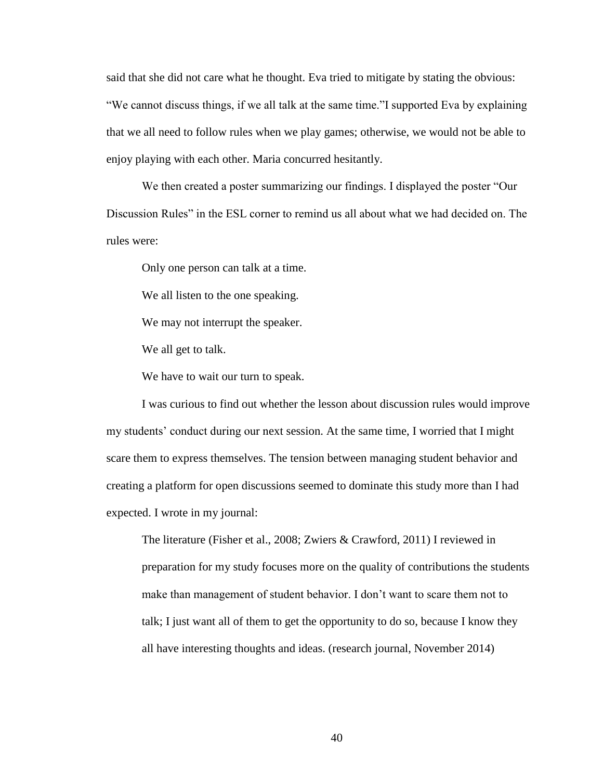said that she did not care what he thought. Eva tried to mitigate by stating the obvious: "We cannot discuss things, if we all talk at the same time."I supported Eva by explaining that we all need to follow rules when we play games; otherwise, we would not be able to enjoy playing with each other. Maria concurred hesitantly.

We then created a poster summarizing our findings. I displayed the poster "Our Discussion Rules" in the ESL corner to remind us all about what we had decided on. The rules were:

Only one person can talk at a time.

We all listen to the one speaking.

We may not interrupt the speaker.

We all get to talk.

We have to wait our turn to speak.

I was curious to find out whether the lesson about discussion rules would improve my students' conduct during our next session. At the same time, I worried that I might scare them to express themselves. The tension between managing student behavior and creating a platform for open discussions seemed to dominate this study more than I had expected. I wrote in my journal:

The literature (Fisher et al., 2008; Zwiers & Crawford, 2011) I reviewed in preparation for my study focuses more on the quality of contributions the students make than management of student behavior. I don't want to scare them not to talk; I just want all of them to get the opportunity to do so, because I know they all have interesting thoughts and ideas. (research journal, November 2014)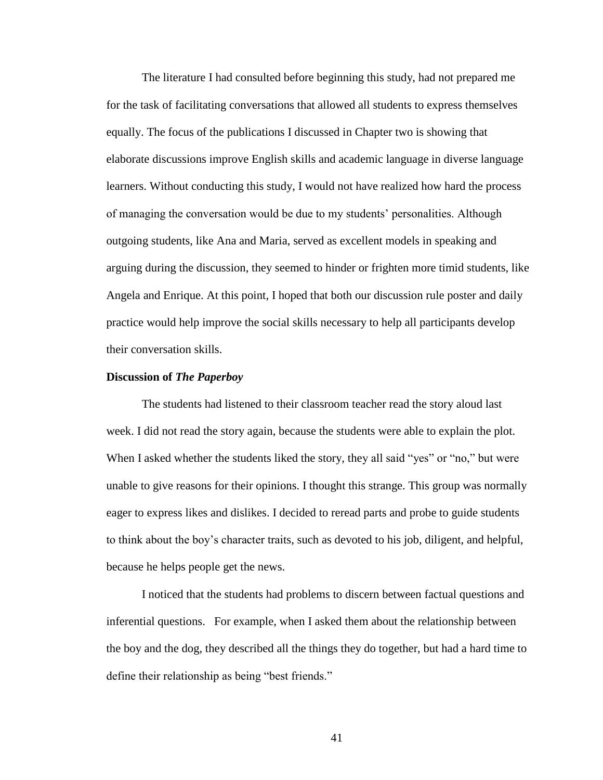The literature I had consulted before beginning this study, had not prepared me for the task of facilitating conversations that allowed all students to express themselves equally. The focus of the publications I discussed in Chapter two is showing that elaborate discussions improve English skills and academic language in diverse language learners. Without conducting this study, I would not have realized how hard the process of managing the conversation would be due to my students' personalities. Although outgoing students, like Ana and Maria, served as excellent models in speaking and arguing during the discussion, they seemed to hinder or frighten more timid students, like Angela and Enrique. At this point, I hoped that both our discussion rule poster and daily practice would help improve the social skills necessary to help all participants develop their conversation skills.

#### **Discussion of** *The Paperboy*

The students had listened to their classroom teacher read the story aloud last week. I did not read the story again, because the students were able to explain the plot. When I asked whether the students liked the story, they all said "yes" or "no," but were unable to give reasons for their opinions. I thought this strange. This group was normally eager to express likes and dislikes. I decided to reread parts and probe to guide students to think about the boy's character traits, such as devoted to his job, diligent, and helpful, because he helps people get the news.

I noticed that the students had problems to discern between factual questions and inferential questions. For example, when I asked them about the relationship between the boy and the dog, they described all the things they do together, but had a hard time to define their relationship as being "best friends."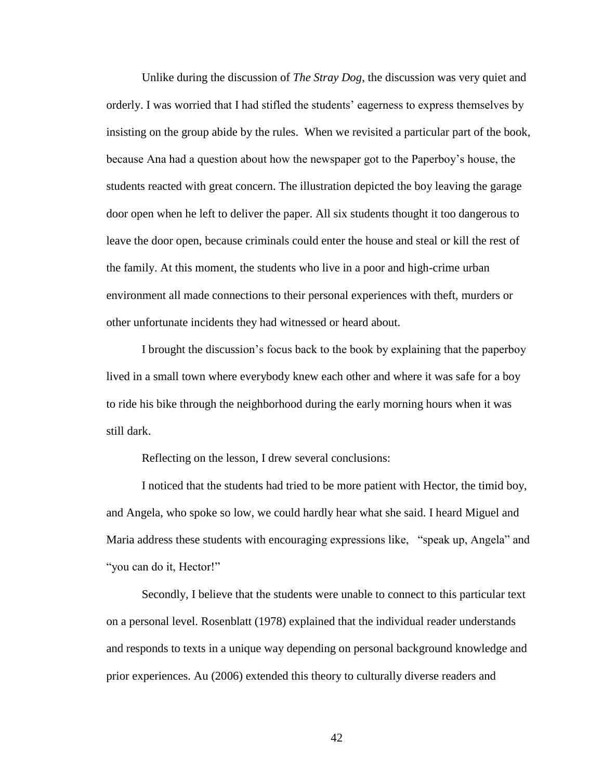Unlike during the discussion of *The Stray Dog*, the discussion was very quiet and orderly. I was worried that I had stifled the students' eagerness to express themselves by insisting on the group abide by the rules. When we revisited a particular part of the book, because Ana had a question about how the newspaper got to the Paperboy's house, the students reacted with great concern. The illustration depicted the boy leaving the garage door open when he left to deliver the paper. All six students thought it too dangerous to leave the door open, because criminals could enter the house and steal or kill the rest of the family. At this moment, the students who live in a poor and high-crime urban environment all made connections to their personal experiences with theft, murders or other unfortunate incidents they had witnessed or heard about.

I brought the discussion's focus back to the book by explaining that the paperboy lived in a small town where everybody knew each other and where it was safe for a boy to ride his bike through the neighborhood during the early morning hours when it was still dark.

Reflecting on the lesson, I drew several conclusions:

I noticed that the students had tried to be more patient with Hector, the timid boy, and Angela, who spoke so low, we could hardly hear what she said. I heard Miguel and Maria address these students with encouraging expressions like, "speak up, Angela" and "you can do it, Hector!"

Secondly, I believe that the students were unable to connect to this particular text on a personal level. Rosenblatt (1978) explained that the individual reader understands and responds to texts in a unique way depending on personal background knowledge and prior experiences. Au (2006) extended this theory to culturally diverse readers and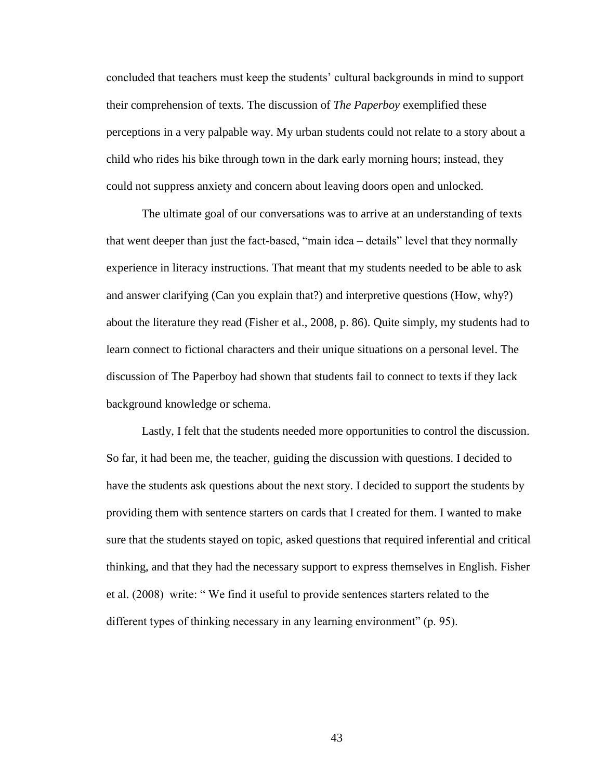concluded that teachers must keep the students' cultural backgrounds in mind to support their comprehension of texts. The discussion of *The Paperboy* exemplified these perceptions in a very palpable way. My urban students could not relate to a story about a child who rides his bike through town in the dark early morning hours; instead, they could not suppress anxiety and concern about leaving doors open and unlocked.

The ultimate goal of our conversations was to arrive at an understanding of texts that went deeper than just the fact-based, "main idea – details" level that they normally experience in literacy instructions. That meant that my students needed to be able to ask and answer clarifying (Can you explain that?) and interpretive questions (How, why?) about the literature they read (Fisher et al., 2008, p. 86). Quite simply, my students had to learn connect to fictional characters and their unique situations on a personal level. The discussion of The Paperboy had shown that students fail to connect to texts if they lack background knowledge or schema.

Lastly, I felt that the students needed more opportunities to control the discussion. So far, it had been me, the teacher, guiding the discussion with questions. I decided to have the students ask questions about the next story. I decided to support the students by providing them with sentence starters on cards that I created for them. I wanted to make sure that the students stayed on topic, asked questions that required inferential and critical thinking, and that they had the necessary support to express themselves in English. Fisher et al. (2008) write: " We find it useful to provide sentences starters related to the different types of thinking necessary in any learning environment" (p. 95).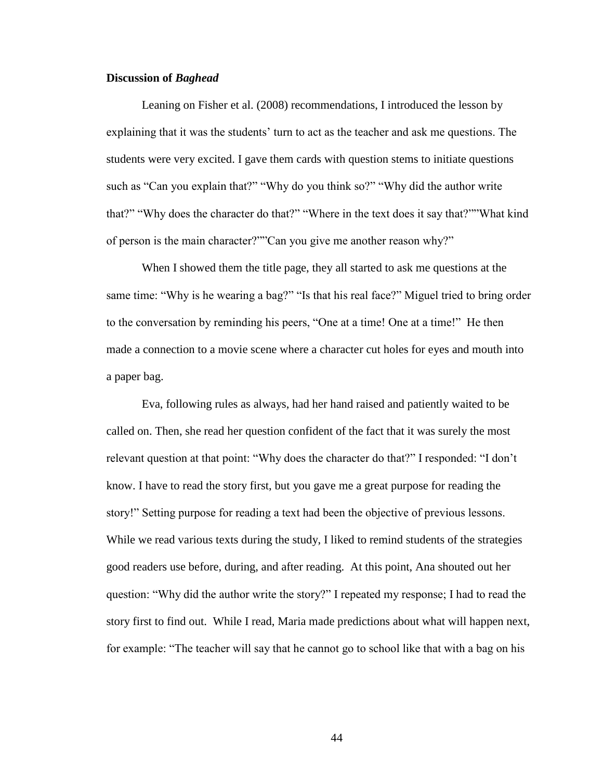#### **Discussion of** *Baghead*

Leaning on Fisher et al. (2008) recommendations, I introduced the lesson by explaining that it was the students' turn to act as the teacher and ask me questions. The students were very excited. I gave them cards with question stems to initiate questions such as "Can you explain that?" "Why do you think so?" "Why did the author write that?" "Why does the character do that?" "Where in the text does it say that?""What kind of person is the main character?""Can you give me another reason why?"

When I showed them the title page, they all started to ask me questions at the same time: "Why is he wearing a bag?" "Is that his real face?" Miguel tried to bring order to the conversation by reminding his peers, "One at a time! One at a time!" He then made a connection to a movie scene where a character cut holes for eyes and mouth into a paper bag.

Eva, following rules as always, had her hand raised and patiently waited to be called on. Then, she read her question confident of the fact that it was surely the most relevant question at that point: "Why does the character do that?" I responded: "I don't know. I have to read the story first, but you gave me a great purpose for reading the story!" Setting purpose for reading a text had been the objective of previous lessons. While we read various texts during the study, I liked to remind students of the strategies good readers use before, during, and after reading. At this point, Ana shouted out her question: "Why did the author write the story?" I repeated my response; I had to read the story first to find out. While I read, Maria made predictions about what will happen next, for example: "The teacher will say that he cannot go to school like that with a bag on his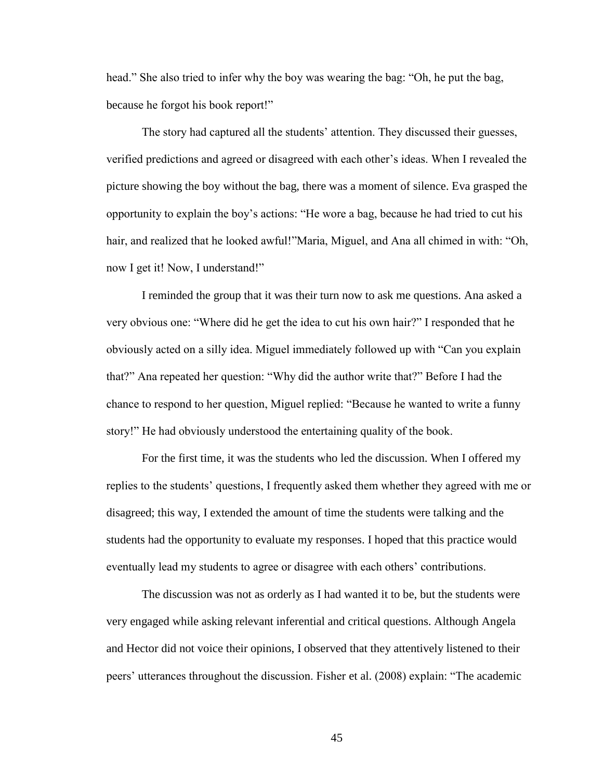head." She also tried to infer why the boy was wearing the bag: "Oh, he put the bag, because he forgot his book report!"

The story had captured all the students' attention. They discussed their guesses, verified predictions and agreed or disagreed with each other's ideas. When I revealed the picture showing the boy without the bag, there was a moment of silence. Eva grasped the opportunity to explain the boy's actions: "He wore a bag, because he had tried to cut his hair, and realized that he looked awful!"Maria, Miguel, and Ana all chimed in with: "Oh, now I get it! Now, I understand!"

I reminded the group that it was their turn now to ask me questions. Ana asked a very obvious one: "Where did he get the idea to cut his own hair?" I responded that he obviously acted on a silly idea. Miguel immediately followed up with "Can you explain that?" Ana repeated her question: "Why did the author write that?" Before I had the chance to respond to her question, Miguel replied: "Because he wanted to write a funny story!" He had obviously understood the entertaining quality of the book.

For the first time, it was the students who led the discussion. When I offered my replies to the students' questions, I frequently asked them whether they agreed with me or disagreed; this way, I extended the amount of time the students were talking and the students had the opportunity to evaluate my responses. I hoped that this practice would eventually lead my students to agree or disagree with each others' contributions.

The discussion was not as orderly as I had wanted it to be, but the students were very engaged while asking relevant inferential and critical questions. Although Angela and Hector did not voice their opinions, I observed that they attentively listened to their peers' utterances throughout the discussion. Fisher et al. (2008) explain: "The academic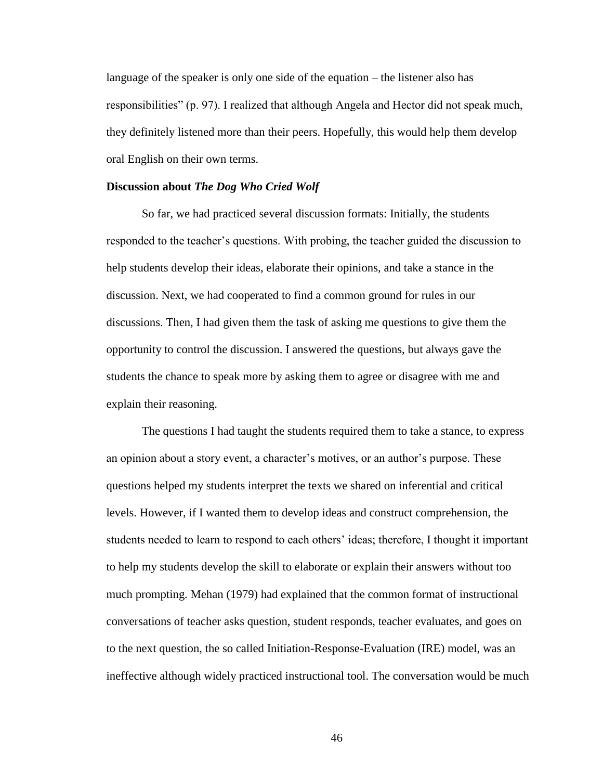language of the speaker is only one side of the equation – the listener also has responsibilities" (p. 97). I realized that although Angela and Hector did not speak much, they definitely listened more than their peers. Hopefully, this would help them develop oral English on their own terms.

#### **Discussion about** *The Dog Who Cried Wolf*

So far, we had practiced several discussion formats: Initially, the students responded to the teacher's questions. With probing, the teacher guided the discussion to help students develop their ideas, elaborate their opinions, and take a stance in the discussion. Next, we had cooperated to find a common ground for rules in our discussions. Then, I had given them the task of asking me questions to give them the opportunity to control the discussion. I answered the questions, but always gave the students the chance to speak more by asking them to agree or disagree with me and explain their reasoning.

The questions I had taught the students required them to take a stance, to express an opinion about a story event, a character's motives, or an author's purpose. These questions helped my students interpret the texts we shared on inferential and critical levels. However, if I wanted them to develop ideas and construct comprehension, the students needed to learn to respond to each others' ideas; therefore, I thought it important to help my students develop the skill to elaborate or explain their answers without too much prompting. Mehan (1979) had explained that the common format of instructional conversations of teacher asks question, student responds, teacher evaluates, and goes on to the next question, the so called Initiation-Response-Evaluation (IRE) model, was an ineffective although widely practiced instructional tool. The conversation would be much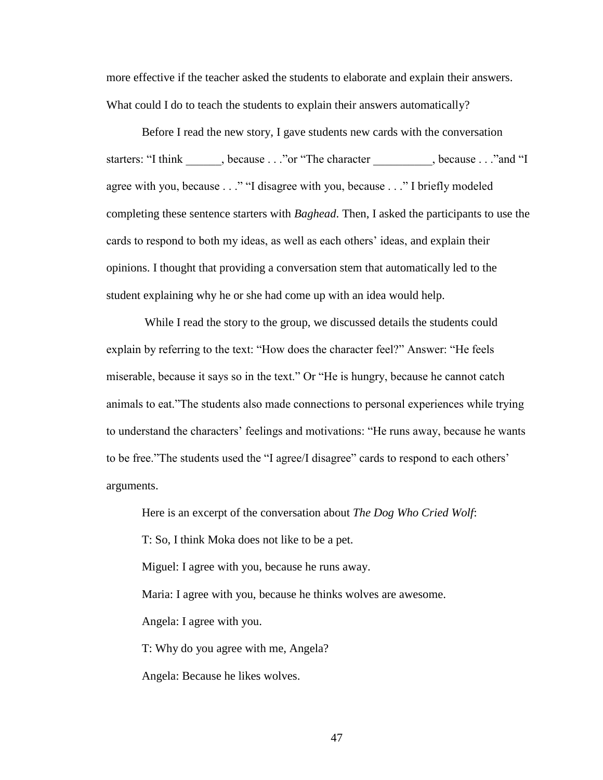more effective if the teacher asked the students to elaborate and explain their answers. What could I do to teach the students to explain their answers automatically?

Before I read the new story, I gave students new cards with the conversation starters: "I think because . . ."or "The character , because . . ."and "I agree with you, because . . ." "I disagree with you, because . . ." I briefly modeled completing these sentence starters with *Baghead*. Then, I asked the participants to use the cards to respond to both my ideas, as well as each others' ideas, and explain their opinions. I thought that providing a conversation stem that automatically led to the student explaining why he or she had come up with an idea would help.

While I read the story to the group, we discussed details the students could explain by referring to the text: "How does the character feel?" Answer: "He feels miserable, because it says so in the text." Or "He is hungry, because he cannot catch animals to eat."The students also made connections to personal experiences while trying to understand the characters' feelings and motivations: "He runs away, because he wants to be free."The students used the "I agree/I disagree" cards to respond to each others' arguments.

Here is an excerpt of the conversation about *The Dog Who Cried Wolf*: T: So, I think Moka does not like to be a pet. Miguel: I agree with you, because he runs away. Maria: I agree with you, because he thinks wolves are awesome. Angela: I agree with you. T: Why do you agree with me, Angela? Angela: Because he likes wolves.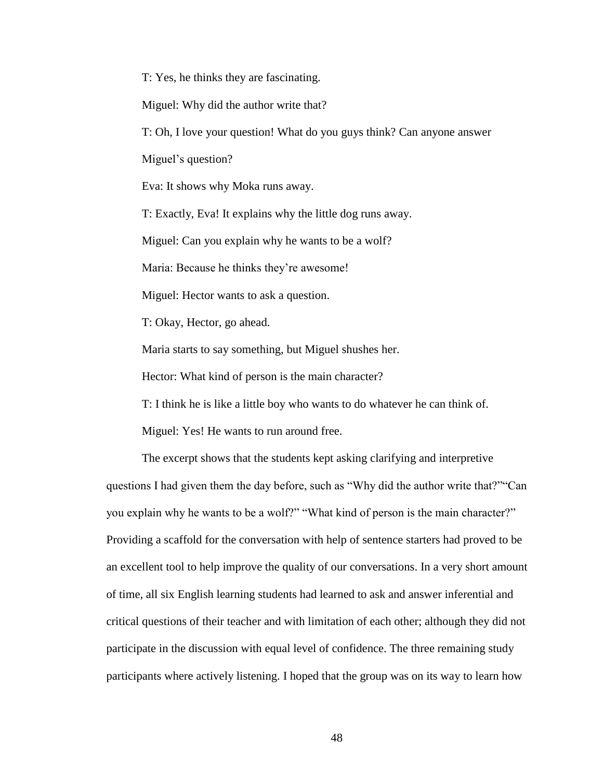T: Yes, he thinks they are fascinating.

Miguel: Why did the author write that?

T: Oh, I love your question! What do you guys think? Can anyone answer

Miguel's question?

Eva: It shows why Moka runs away.

T: Exactly, Eva! It explains why the little dog runs away.

Miguel: Can you explain why he wants to be a wolf?

Maria: Because he thinks they're awesome!

Miguel: Hector wants to ask a question.

T: Okay, Hector, go ahead.

Maria starts to say something, but Miguel shushes her.

Hector: What kind of person is the main character?

T: I think he is like a little boy who wants to do whatever he can think of.

Miguel: Yes! He wants to run around free.

The excerpt shows that the students kept asking clarifying and interpretive questions I had given them the day before, such as "Why did the author write that?""Can you explain why he wants to be a wolf?" "What kind of person is the main character?" Providing a scaffold for the conversation with help of sentence starters had proved to be an excellent tool to help improve the quality of our conversations. In a very short amount of time, all six English learning students had learned to ask and answer inferential and critical questions of their teacher and with limitation of each other; although they did not participate in the discussion with equal level of confidence. The three remaining study participants where actively listening. I hoped that the group was on its way to learn how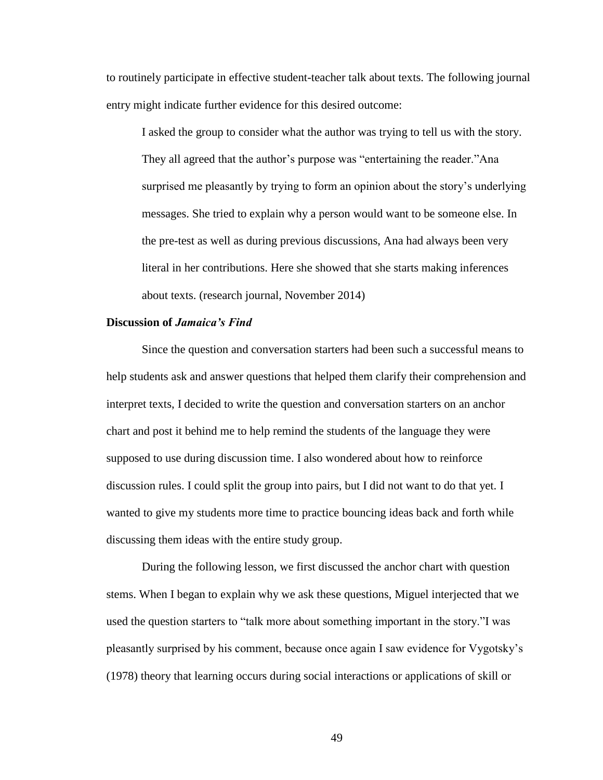to routinely participate in effective student-teacher talk about texts. The following journal entry might indicate further evidence for this desired outcome:

I asked the group to consider what the author was trying to tell us with the story. They all agreed that the author's purpose was "entertaining the reader."Ana surprised me pleasantly by trying to form an opinion about the story's underlying messages. She tried to explain why a person would want to be someone else. In the pre-test as well as during previous discussions, Ana had always been very literal in her contributions. Here she showed that she starts making inferences about texts. (research journal, November 2014)

#### **Discussion of** *Jamaica's Find*

Since the question and conversation starters had been such a successful means to help students ask and answer questions that helped them clarify their comprehension and interpret texts, I decided to write the question and conversation starters on an anchor chart and post it behind me to help remind the students of the language they were supposed to use during discussion time. I also wondered about how to reinforce discussion rules. I could split the group into pairs, but I did not want to do that yet. I wanted to give my students more time to practice bouncing ideas back and forth while discussing them ideas with the entire study group.

During the following lesson, we first discussed the anchor chart with question stems. When I began to explain why we ask these questions, Miguel interjected that we used the question starters to "talk more about something important in the story."I was pleasantly surprised by his comment, because once again I saw evidence for Vygotsky's (1978) theory that learning occurs during social interactions or applications of skill or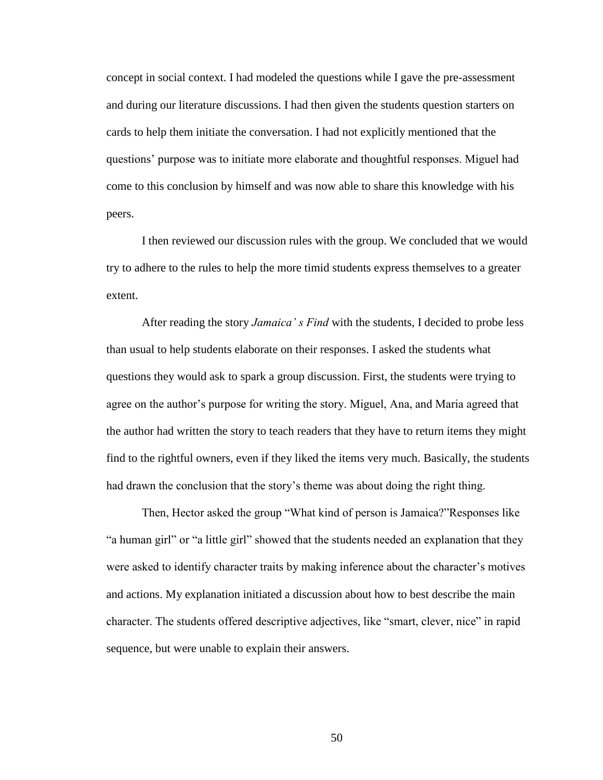concept in social context. I had modeled the questions while I gave the pre-assessment and during our literature discussions. I had then given the students question starters on cards to help them initiate the conversation. I had not explicitly mentioned that the questions' purpose was to initiate more elaborate and thoughtful responses. Miguel had come to this conclusion by himself and was now able to share this knowledge with his peers.

I then reviewed our discussion rules with the group. We concluded that we would try to adhere to the rules to help the more timid students express themselves to a greater extent.

After reading the story *Jamaica' s Find* with the students, I decided to probe less than usual to help students elaborate on their responses. I asked the students what questions they would ask to spark a group discussion. First, the students were trying to agree on the author's purpose for writing the story. Miguel, Ana, and Maria agreed that the author had written the story to teach readers that they have to return items they might find to the rightful owners, even if they liked the items very much. Basically, the students had drawn the conclusion that the story's theme was about doing the right thing.

Then, Hector asked the group "What kind of person is Jamaica?"Responses like "a human girl" or "a little girl" showed that the students needed an explanation that they were asked to identify character traits by making inference about the character's motives and actions. My explanation initiated a discussion about how to best describe the main character. The students offered descriptive adjectives, like "smart, clever, nice" in rapid sequence, but were unable to explain their answers.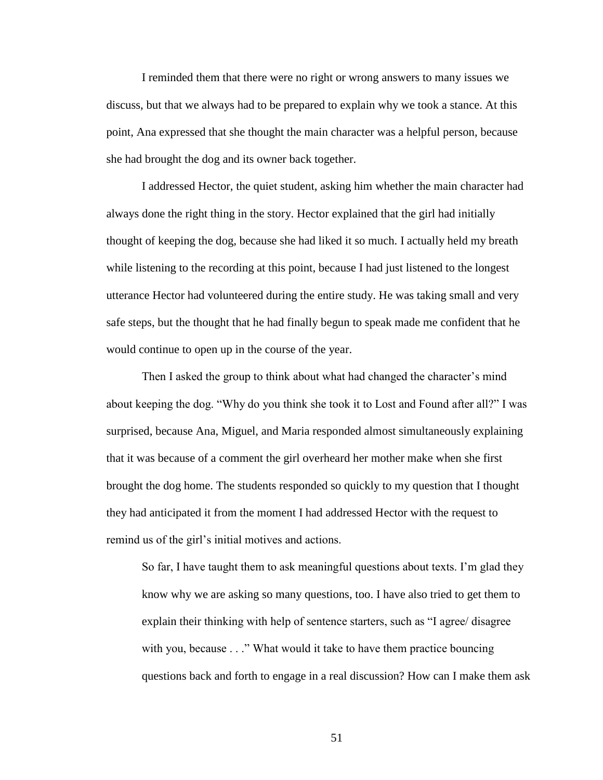I reminded them that there were no right or wrong answers to many issues we discuss, but that we always had to be prepared to explain why we took a stance. At this point, Ana expressed that she thought the main character was a helpful person, because she had brought the dog and its owner back together.

I addressed Hector, the quiet student, asking him whether the main character had always done the right thing in the story. Hector explained that the girl had initially thought of keeping the dog, because she had liked it so much. I actually held my breath while listening to the recording at this point, because I had just listened to the longest utterance Hector had volunteered during the entire study. He was taking small and very safe steps, but the thought that he had finally begun to speak made me confident that he would continue to open up in the course of the year.

Then I asked the group to think about what had changed the character's mind about keeping the dog. "Why do you think she took it to Lost and Found after all?" I was surprised, because Ana, Miguel, and Maria responded almost simultaneously explaining that it was because of a comment the girl overheard her mother make when she first brought the dog home. The students responded so quickly to my question that I thought they had anticipated it from the moment I had addressed Hector with the request to remind us of the girl's initial motives and actions.

So far, I have taught them to ask meaningful questions about texts. I'm glad they know why we are asking so many questions, too. I have also tried to get them to explain their thinking with help of sentence starters, such as "I agree/ disagree with you, because . . ." What would it take to have them practice bouncing questions back and forth to engage in a real discussion? How can I make them ask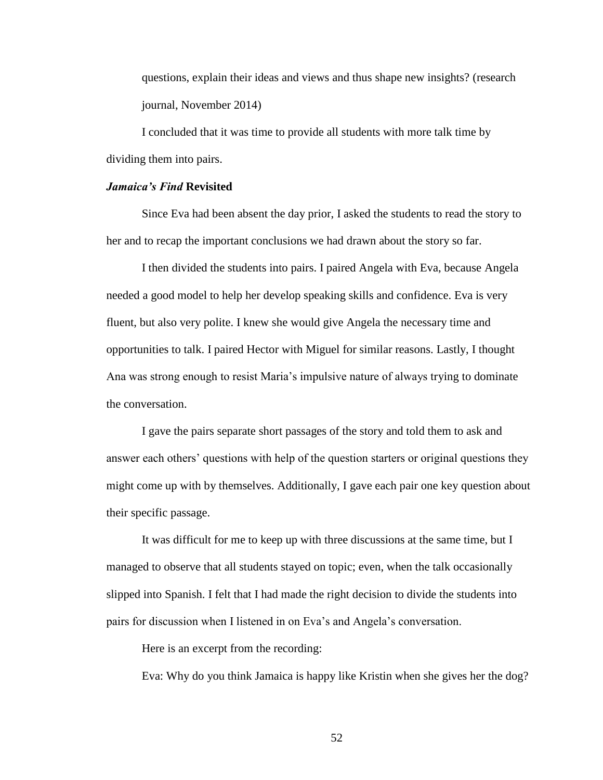questions, explain their ideas and views and thus shape new insights? (research journal, November 2014)

I concluded that it was time to provide all students with more talk time by dividing them into pairs.

#### *Jamaica's Find* **Revisited**

Since Eva had been absent the day prior, I asked the students to read the story to her and to recap the important conclusions we had drawn about the story so far.

I then divided the students into pairs. I paired Angela with Eva, because Angela needed a good model to help her develop speaking skills and confidence. Eva is very fluent, but also very polite. I knew she would give Angela the necessary time and opportunities to talk. I paired Hector with Miguel for similar reasons. Lastly, I thought Ana was strong enough to resist Maria's impulsive nature of always trying to dominate the conversation.

I gave the pairs separate short passages of the story and told them to ask and answer each others' questions with help of the question starters or original questions they might come up with by themselves. Additionally, I gave each pair one key question about their specific passage.

It was difficult for me to keep up with three discussions at the same time, but I managed to observe that all students stayed on topic; even, when the talk occasionally slipped into Spanish. I felt that I had made the right decision to divide the students into pairs for discussion when I listened in on Eva's and Angela's conversation.

Here is an excerpt from the recording:

Eva: Why do you think Jamaica is happy like Kristin when she gives her the dog?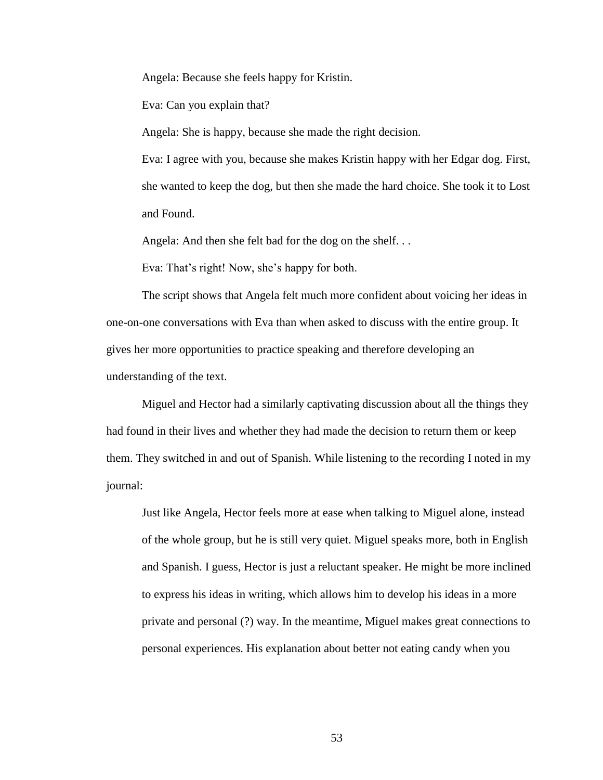Angela: Because she feels happy for Kristin.

Eva: Can you explain that?

Angela: She is happy, because she made the right decision.

Eva: I agree with you, because she makes Kristin happy with her Edgar dog. First, she wanted to keep the dog, but then she made the hard choice. She took it to Lost and Found.

Angela: And then she felt bad for the dog on the shelf. . .

Eva: That's right! Now, she's happy for both.

The script shows that Angela felt much more confident about voicing her ideas in one-on-one conversations with Eva than when asked to discuss with the entire group. It gives her more opportunities to practice speaking and therefore developing an understanding of the text.

Miguel and Hector had a similarly captivating discussion about all the things they had found in their lives and whether they had made the decision to return them or keep them. They switched in and out of Spanish. While listening to the recording I noted in my journal:

Just like Angela, Hector feels more at ease when talking to Miguel alone, instead of the whole group, but he is still very quiet. Miguel speaks more, both in English and Spanish. I guess, Hector is just a reluctant speaker. He might be more inclined to express his ideas in writing, which allows him to develop his ideas in a more private and personal (?) way. In the meantime, Miguel makes great connections to personal experiences. His explanation about better not eating candy when you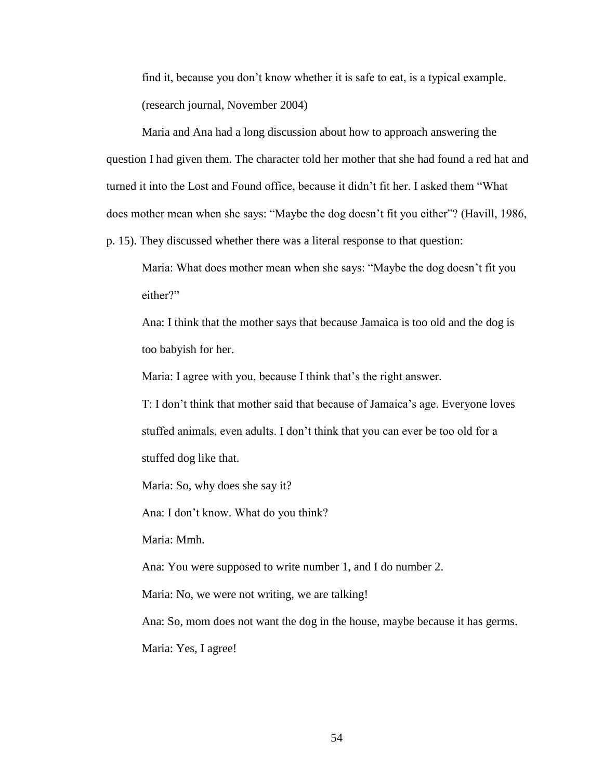find it, because you don't know whether it is safe to eat, is a typical example. (research journal, November 2004)

Maria and Ana had a long discussion about how to approach answering the question I had given them. The character told her mother that she had found a red hat and turned it into the Lost and Found office, because it didn't fit her. I asked them "What does mother mean when she says: "Maybe the dog doesn't fit you either"? (Havill, 1986,

p. 15). They discussed whether there was a literal response to that question:

Maria: What does mother mean when she says: "Maybe the dog doesn't fit you either?"

Ana: I think that the mother says that because Jamaica is too old and the dog is too babyish for her.

Maria: I agree with you, because I think that's the right answer.

T: I don't think that mother said that because of Jamaica's age. Everyone loves stuffed animals, even adults. I don't think that you can ever be too old for a stuffed dog like that.

Maria: So, why does she say it?

Ana: I don't know. What do you think?

Maria: Mmh.

Ana: You were supposed to write number 1, and I do number 2.

Maria: No, we were not writing, we are talking!

Ana: So, mom does not want the dog in the house, maybe because it has germs.

Maria: Yes, I agree!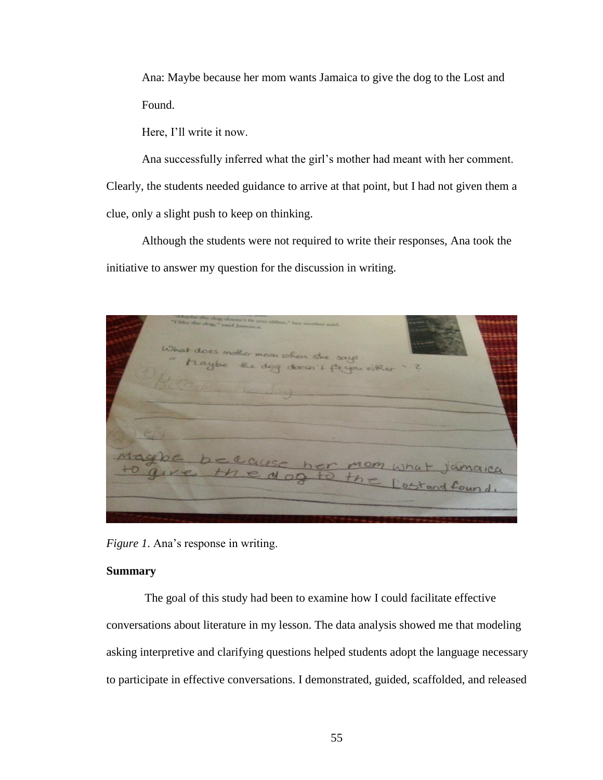Ana: Maybe because her mom wants Jamaica to give the dog to the Lost and Found.

Here, I'll write it now.

Ana successfully inferred what the girl's mother had meant with her comment. Clearly, the students needed guidance to arrive at that point, but I had not given them a clue, only a slight push to keep on thinking.

Although the students were not required to write their responses, Ana took the initiative to answer my question for the discussion in writing.

dog doesn't fit you

*Figure 1*. Ana's response in writing.

### **Summary**

The goal of this study had been to examine how I could facilitate effective conversations about literature in my lesson. The data analysis showed me that modeling asking interpretive and clarifying questions helped students adopt the language necessary to participate in effective conversations. I demonstrated, guided, scaffolded, and released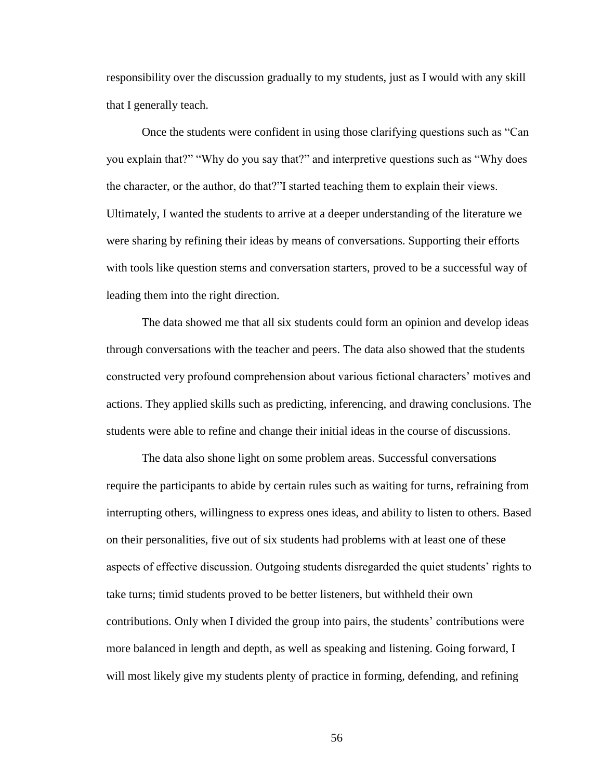responsibility over the discussion gradually to my students, just as I would with any skill that I generally teach.

Once the students were confident in using those clarifying questions such as "Can you explain that?" "Why do you say that?" and interpretive questions such as "Why does the character, or the author, do that?"I started teaching them to explain their views. Ultimately, I wanted the students to arrive at a deeper understanding of the literature we were sharing by refining their ideas by means of conversations. Supporting their efforts with tools like question stems and conversation starters, proved to be a successful way of leading them into the right direction.

The data showed me that all six students could form an opinion and develop ideas through conversations with the teacher and peers. The data also showed that the students constructed very profound comprehension about various fictional characters' motives and actions. They applied skills such as predicting, inferencing, and drawing conclusions. The students were able to refine and change their initial ideas in the course of discussions.

The data also shone light on some problem areas. Successful conversations require the participants to abide by certain rules such as waiting for turns, refraining from interrupting others, willingness to express ones ideas, and ability to listen to others. Based on their personalities, five out of six students had problems with at least one of these aspects of effective discussion. Outgoing students disregarded the quiet students' rights to take turns; timid students proved to be better listeners, but withheld their own contributions. Only when I divided the group into pairs, the students' contributions were more balanced in length and depth, as well as speaking and listening. Going forward, I will most likely give my students plenty of practice in forming, defending, and refining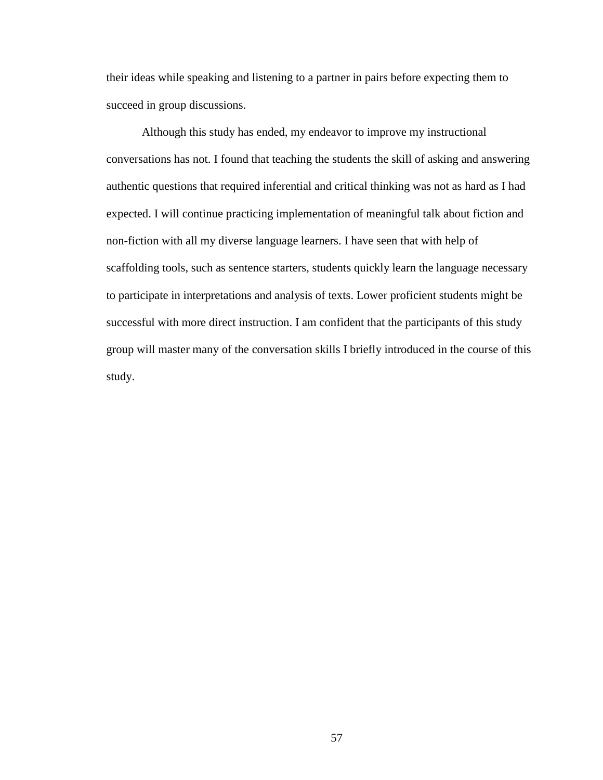their ideas while speaking and listening to a partner in pairs before expecting them to succeed in group discussions.

Although this study has ended, my endeavor to improve my instructional conversations has not. I found that teaching the students the skill of asking and answering authentic questions that required inferential and critical thinking was not as hard as I had expected. I will continue practicing implementation of meaningful talk about fiction and non-fiction with all my diverse language learners. I have seen that with help of scaffolding tools, such as sentence starters, students quickly learn the language necessary to participate in interpretations and analysis of texts. Lower proficient students might be successful with more direct instruction. I am confident that the participants of this study group will master many of the conversation skills I briefly introduced in the course of this study.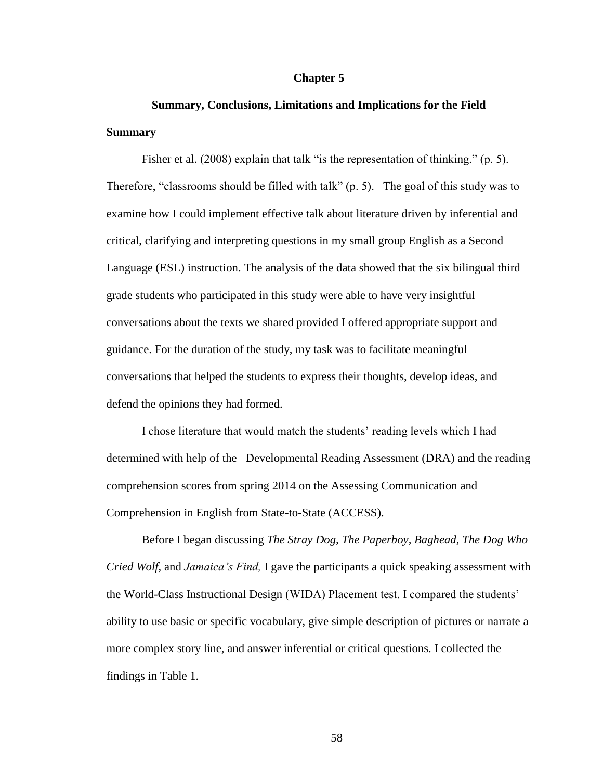#### **Chapter 5**

# **Summary, Conclusions, Limitations and Implications for the Field Summary**

Fisher et al. (2008) explain that talk "is the representation of thinking." (p. 5). Therefore, "classrooms should be filled with talk" (p. 5). The goal of this study was to examine how I could implement effective talk about literature driven by inferential and critical, clarifying and interpreting questions in my small group English as a Second Language (ESL) instruction. The analysis of the data showed that the six bilingual third grade students who participated in this study were able to have very insightful conversations about the texts we shared provided I offered appropriate support and guidance. For the duration of the study, my task was to facilitate meaningful conversations that helped the students to express their thoughts, develop ideas, and defend the opinions they had formed.

I chose literature that would match the students' reading levels which I had determined with help of the Developmental Reading Assessment (DRA) and the reading comprehension scores from spring 2014 on the Assessing Communication and Comprehension in English from State-to-State (ACCESS).

Before I began discussing *The Stray Dog, The Paperboy, Baghead, The Dog Who Cried Wolf,* and *Jamaica's Find,* I gave the participants a quick speaking assessment with the World-Class Instructional Design (WIDA) Placement test. I compared the students' ability to use basic or specific vocabulary, give simple description of pictures or narrate a more complex story line, and answer inferential or critical questions. I collected the findings in Table 1.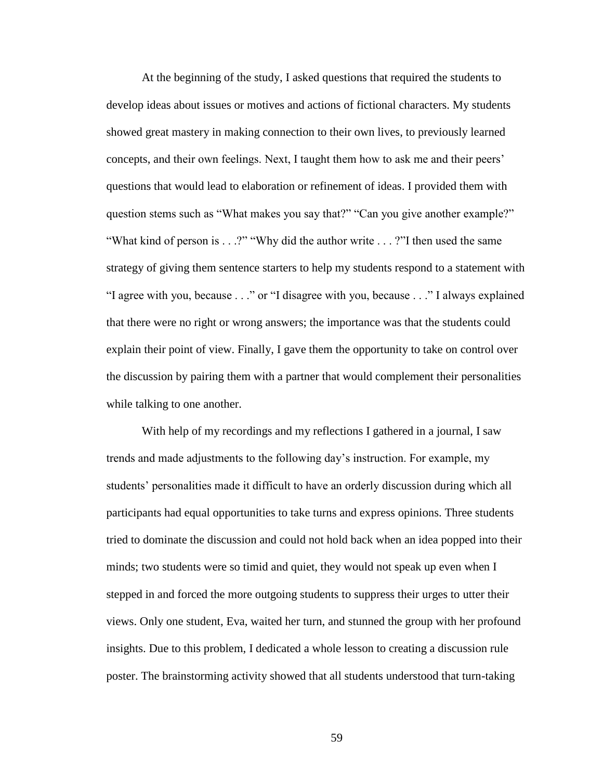At the beginning of the study, I asked questions that required the students to develop ideas about issues or motives and actions of fictional characters. My students showed great mastery in making connection to their own lives, to previously learned concepts, and their own feelings. Next, I taught them how to ask me and their peers' questions that would lead to elaboration or refinement of ideas. I provided them with question stems such as "What makes you say that?" "Can you give another example?" "What kind of person is . . .?" "Why did the author write . . . ?"I then used the same strategy of giving them sentence starters to help my students respond to a statement with "I agree with you, because . . ." or "I disagree with you, because . . ." I always explained that there were no right or wrong answers; the importance was that the students could explain their point of view. Finally, I gave them the opportunity to take on control over the discussion by pairing them with a partner that would complement their personalities while talking to one another.

With help of my recordings and my reflections I gathered in a journal, I saw trends and made adjustments to the following day's instruction. For example, my students' personalities made it difficult to have an orderly discussion during which all participants had equal opportunities to take turns and express opinions. Three students tried to dominate the discussion and could not hold back when an idea popped into their minds; two students were so timid and quiet, they would not speak up even when I stepped in and forced the more outgoing students to suppress their urges to utter their views. Only one student, Eva, waited her turn, and stunned the group with her profound insights. Due to this problem, I dedicated a whole lesson to creating a discussion rule poster. The brainstorming activity showed that all students understood that turn-taking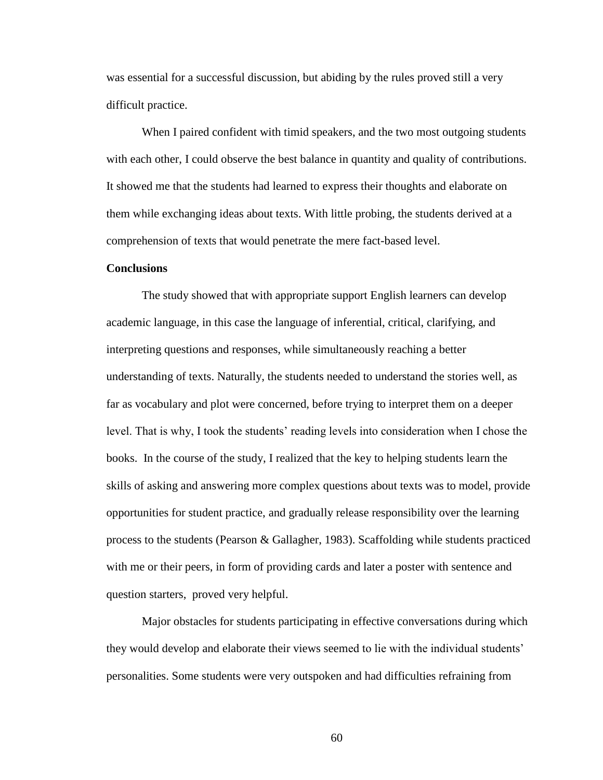was essential for a successful discussion, but abiding by the rules proved still a very difficult practice.

When I paired confident with timid speakers, and the two most outgoing students with each other, I could observe the best balance in quantity and quality of contributions. It showed me that the students had learned to express their thoughts and elaborate on them while exchanging ideas about texts. With little probing, the students derived at a comprehension of texts that would penetrate the mere fact-based level.

#### **Conclusions**

The study showed that with appropriate support English learners can develop academic language, in this case the language of inferential, critical, clarifying, and interpreting questions and responses, while simultaneously reaching a better understanding of texts. Naturally, the students needed to understand the stories well, as far as vocabulary and plot were concerned, before trying to interpret them on a deeper level. That is why, I took the students' reading levels into consideration when I chose the books. In the course of the study, I realized that the key to helping students learn the skills of asking and answering more complex questions about texts was to model, provide opportunities for student practice, and gradually release responsibility over the learning process to the students (Pearson & Gallagher, 1983). Scaffolding while students practiced with me or their peers, in form of providing cards and later a poster with sentence and question starters, proved very helpful.

Major obstacles for students participating in effective conversations during which they would develop and elaborate their views seemed to lie with the individual students' personalities. Some students were very outspoken and had difficulties refraining from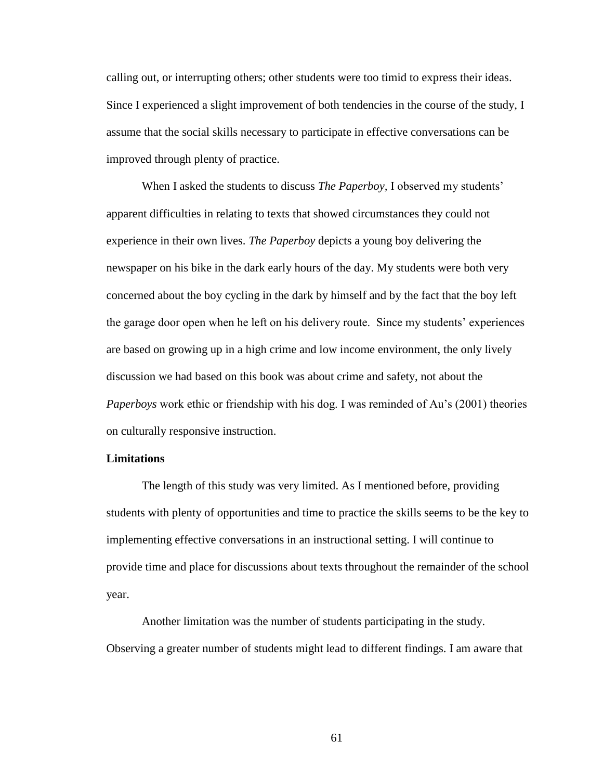calling out, or interrupting others; other students were too timid to express their ideas. Since I experienced a slight improvement of both tendencies in the course of the study, I assume that the social skills necessary to participate in effective conversations can be improved through plenty of practice.

When I asked the students to discuss *The Paperboy,* I observed my students' apparent difficulties in relating to texts that showed circumstances they could not experience in their own lives. *The Paperboy* depicts a young boy delivering the newspaper on his bike in the dark early hours of the day. My students were both very concerned about the boy cycling in the dark by himself and by the fact that the boy left the garage door open when he left on his delivery route. Since my students' experiences are based on growing up in a high crime and low income environment, the only lively discussion we had based on this book was about crime and safety, not about the *Paperboys* work ethic or friendship with his dog. I was reminded of Au's (2001) theories on culturally responsive instruction.

#### **Limitations**

The length of this study was very limited. As I mentioned before, providing students with plenty of opportunities and time to practice the skills seems to be the key to implementing effective conversations in an instructional setting. I will continue to provide time and place for discussions about texts throughout the remainder of the school year.

Another limitation was the number of students participating in the study. Observing a greater number of students might lead to different findings. I am aware that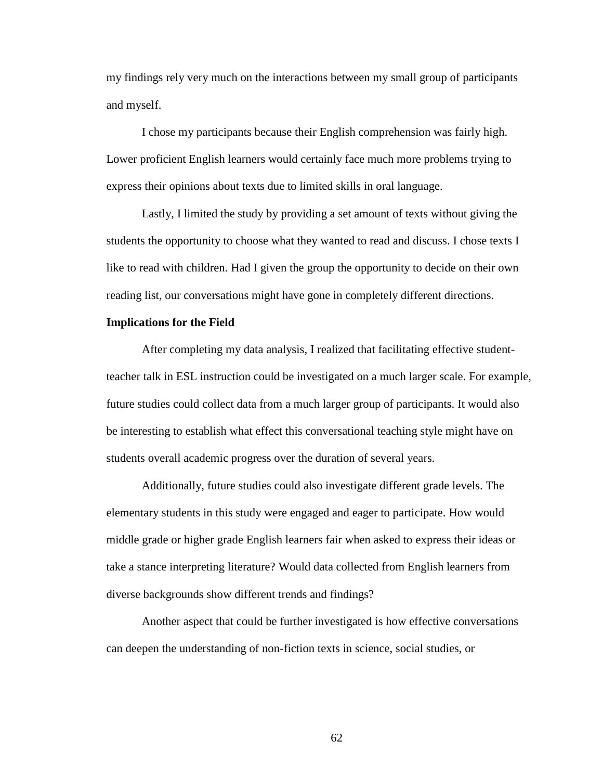my findings rely very much on the interactions between my small group of participants and myself.

I chose my participants because their English comprehension was fairly high. Lower proficient English learners would certainly face much more problems trying to express their opinions about texts due to limited skills in oral language.

Lastly, I limited the study by providing a set amount of texts without giving the students the opportunity to choose what they wanted to read and discuss. I chose texts I like to read with children. Had I given the group the opportunity to decide on their own reading list, our conversations might have gone in completely different directions.

#### **Implications for the Field**

After completing my data analysis, I realized that facilitating effective studentteacher talk in ESL instruction could be investigated on a much larger scale. For example, future studies could collect data from a much larger group of participants. It would also be interesting to establish what effect this conversational teaching style might have on students overall academic progress over the duration of several years.

Additionally, future studies could also investigate different grade levels. The elementary students in this study were engaged and eager to participate. How would middle grade or higher grade English learners fair when asked to express their ideas or take a stance interpreting literature? Would data collected from English learners from diverse backgrounds show different trends and findings?

Another aspect that could be further investigated is how effective conversations can deepen the understanding of non-fiction texts in science, social studies, or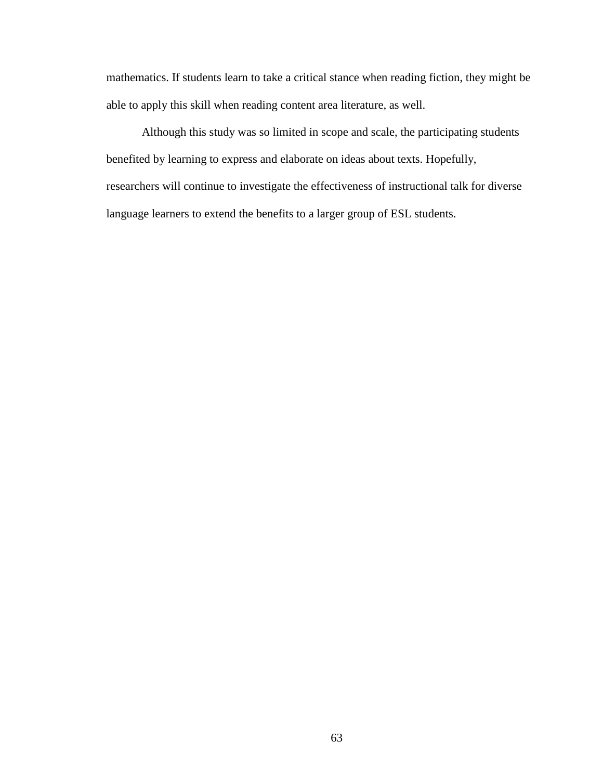mathematics. If students learn to take a critical stance when reading fiction, they might be able to apply this skill when reading content area literature, as well.

Although this study was so limited in scope and scale, the participating students benefited by learning to express and elaborate on ideas about texts. Hopefully, researchers will continue to investigate the effectiveness of instructional talk for diverse language learners to extend the benefits to a larger group of ESL students.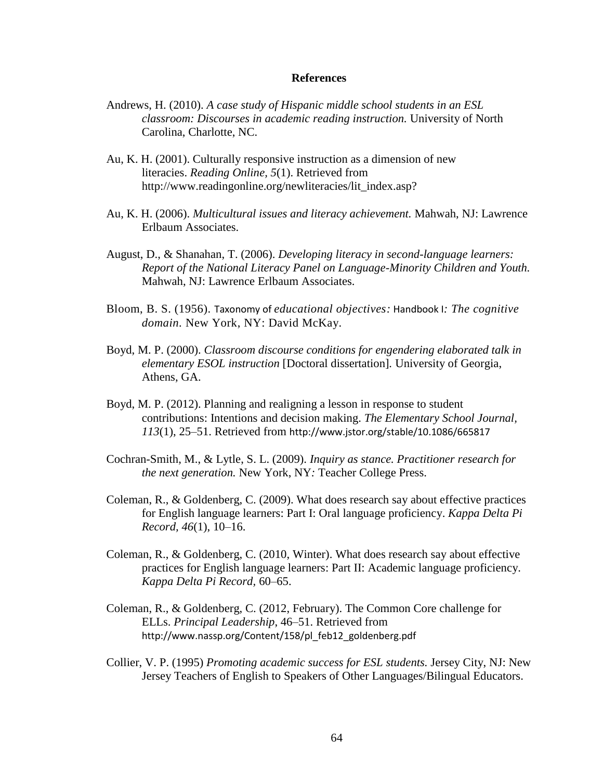## **References**

- Andrews, H. (2010). *A case study of Hispanic middle school students in an ESL classroom: Discourses in academic reading instruction.* University of North Carolina, Charlotte, NC.
- Au, K. H. (2001). Culturally responsive instruction as a dimension of new literacies. *Reading Online, 5*(1). Retrieved from http://www.readingonline.org/newliteracies/lit\_index.asp?
- Au, K. H. (2006). *Multicultural issues and literacy achievement.* Mahwah, NJ: Lawrence Erlbaum Associates.
- August, D., & Shanahan, T. (2006). *Developing literacy in second-language learners: Report of the National Literacy Panel on Language-Minority Children and Youth.* Mahwah, NJ: Lawrence Erlbaum Associates.
- Bloom, B. S. (1956). Taxonomy of *educational objectives:* Handbook I*: The cognitive domain.* New York, NY: David McKay.
- Boyd, M. P. (2000). *Classroom discourse conditions for engendering elaborated talk in elementary ESOL instruction* [Doctoral dissertation]*.* University of Georgia, Athens, GA.
- Boyd, M. P. (2012). Planning and realigning a lesson in response to student contributions: Intentions and decision making. *The Elementary School Journal, 113*(1), 25–51. Retrieved from http://www.jstor.org/stable/10.1086/665817
- Cochran-Smith, M., & Lytle, S. L. (2009). *Inquiry as stance. Practitioner research for the next generation.* New York, NY*:* Teacher College Press.
- Coleman, R., & Goldenberg, C. (2009). What does research say about effective practices for English language learners: Part I: Oral language proficiency. *Kappa Delta Pi Record, 46*(1), 10–16.
- Coleman, R., & Goldenberg, C. (2010, Winter). What does research say about effective practices for English language learners: Part II: Academic language proficiency. *Kappa Delta Pi Record,* 60–65.
- Coleman, R., & Goldenberg, C. (2012, February). The Common Core challenge for ELLs. *Principal Leadership*, 46–51. Retrieved from http://www.nassp.org/Content/158/pl\_feb12\_goldenberg.pdf
- Collier, V. P. (1995) *Promoting academic success for ESL students.* Jersey City, NJ: New Jersey Teachers of English to Speakers of Other Languages/Bilingual Educators.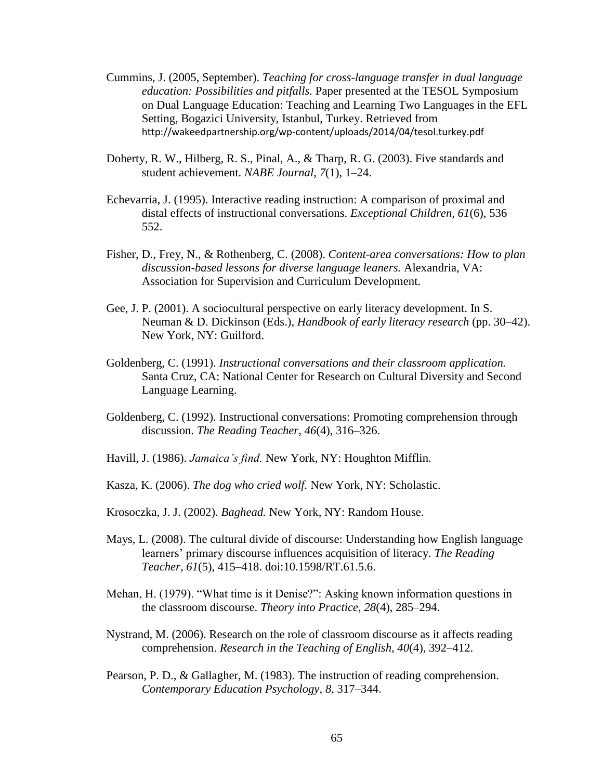- Cummins, J. (2005, September). *Teaching for cross-language transfer in dual language education: Possibilities and pitfalls.* Paper presented at the TESOL Symposium on Dual Language Education: Teaching and Learning Two Languages in the EFL Setting, Bogazici University, Istanbul, Turkey. Retrieved from http://wakeedpartnership.org/wp-content/uploads/2014/04/tesol.turkey.pdf
- Doherty, R. W., Hilberg, R. S., Pinal, A., & Tharp, R. G. (2003). Five standards and student achievement. *NABE Journal, 7*(1), 1–24.
- Echevarria, J. (1995). Interactive reading instruction: A comparison of proximal and distal effects of instructional conversations. *Exceptional Children, 61*(6), 536– 552.
- Fisher, D., Frey, N., & Rothenberg, C. (2008). *Content-area conversations: How to plan discussion-based lessons for diverse language leaners.* Alexandria, VA: Association for Supervision and Curriculum Development.
- Gee, J. P. (2001). A sociocultural perspective on early literacy development. In S. Neuman & D. Dickinson (Eds.), *Handbook of early literacy research* (pp. 30–42). New York, NY: Guilford.
- Goldenberg, C. (1991). *Instructional conversations and their classroom application.* Santa Cruz, CA: National Center for Research on Cultural Diversity and Second Language Learning.
- Goldenberg, C. (1992). Instructional conversations: Promoting comprehension through discussion. *The Reading Teacher, 46*(4), 316–326.
- Havill, J. (1986). *Jamaica's find.* New York, NY: Houghton Mifflin.
- Kasza, K. (2006). *The dog who cried wolf.* New York, NY: Scholastic.
- Krosoczka, J. J. (2002). *Baghead.* New York, NY: Random House.
- Mays, L. (2008). The cultural divide of discourse: Understanding how English language learners' primary discourse influences acquisition of literacy. *The Reading Teacher, 61*(5), 415–418. doi:10.1598/RT.61.5.6.
- Mehan, H. (1979). "What time is it Denise?": Asking known information questions in the classroom discourse. *Theory into Practice, 28*(4), 285–294.
- Nystrand, M. (2006). Research on the role of classroom discourse as it affects reading comprehension. *Research in the Teaching of English, 40*(4), 392–412.
- Pearson, P. D., & Gallagher, M. (1983). The instruction of reading comprehension. *Contemporary Education Psychology, 8*, 317–344.